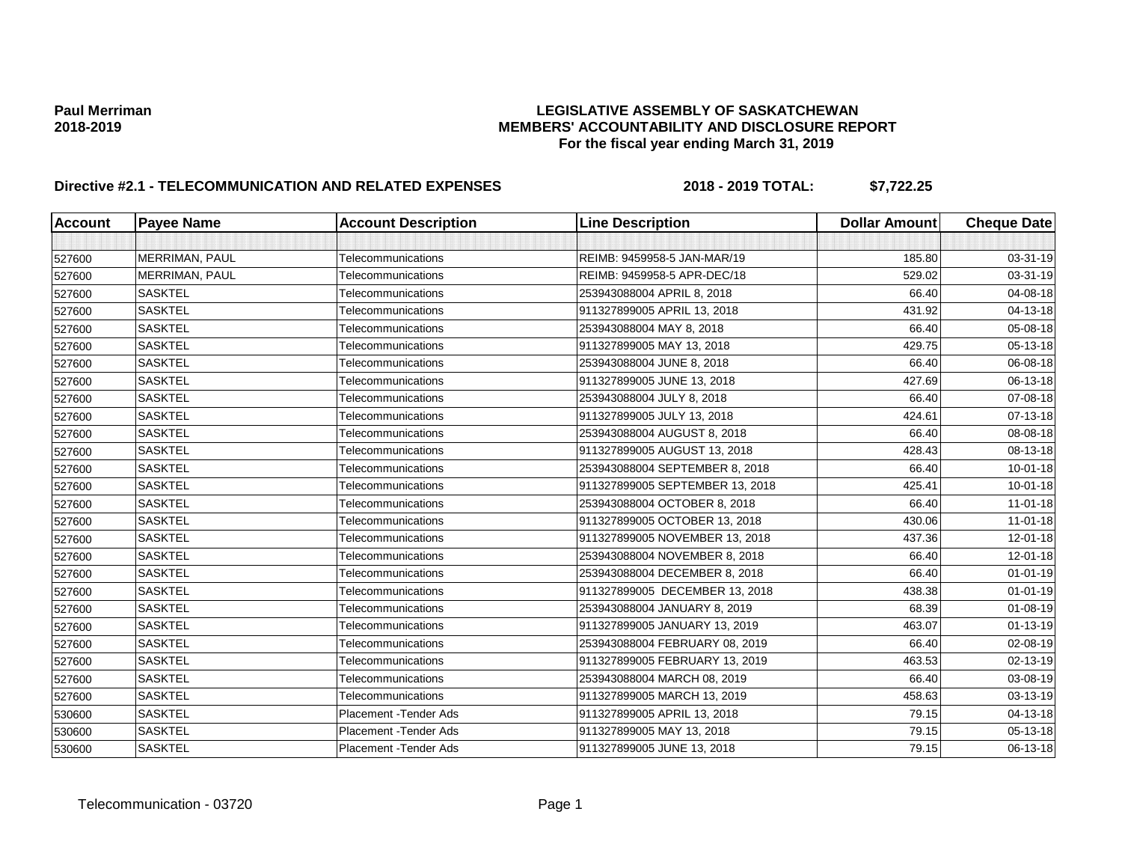| <b>Account</b> | <b>Payee Name</b> | <b>Account Description</b> | <b>Line Description</b>         | <b>Dollar Amount</b> | <b>Cheque Date</b> |
|----------------|-------------------|----------------------------|---------------------------------|----------------------|--------------------|
|                |                   |                            |                                 |                      |                    |
| 527600         | MERRIMAN, PAUL    | Telecommunications         | REIMB: 9459958-5 JAN-MAR/19     | 185.80               | 03-31-19           |
| 527600         | MERRIMAN, PAUL    | Telecommunications         | REIMB: 9459958-5 APR-DEC/18     | 529.02               | 03-31-19           |
| 527600         | <b>SASKTEL</b>    | Telecommunications         | 253943088004 APRIL 8, 2018      | 66.40                | 04-08-18           |
| 527600         | <b>SASKTEL</b>    | Telecommunications         | 911327899005 APRIL 13, 2018     | 431.92               | 04-13-18           |
| 527600         | <b>SASKTEL</b>    | Telecommunications         | 253943088004 MAY 8, 2018        | 66.40                | 05-08-18           |
| 527600         | <b>SASKTEL</b>    | Telecommunications         | 911327899005 MAY 13, 2018       | 429.75               | 05-13-18           |
| 527600         | <b>SASKTEL</b>    | Telecommunications         | 253943088004 JUNE 8, 2018       | 66.40                | 06-08-18           |
| 527600         | <b>SASKTEL</b>    | Telecommunications         | 911327899005 JUNE 13, 2018      | 427.69               | 06-13-18           |
| 527600         | <b>SASKTEL</b>    | Telecommunications         | 253943088004 JULY 8, 2018       | 66.40                | 07-08-18           |
| 527600         | <b>SASKTEL</b>    | Telecommunications         | 911327899005 JULY 13, 2018      | 424.61               | 07-13-18           |
| 527600         | <b>SASKTEL</b>    | Telecommunications         | 253943088004 AUGUST 8, 2018     | 66.40                | 08-08-18           |
| 527600         | <b>SASKTEL</b>    | Telecommunications         | 911327899005 AUGUST 13, 2018    | 428.43               | 08-13-18           |
| 527600         | <b>SASKTEL</b>    | Telecommunications         | 253943088004 SEPTEMBER 8, 2018  | 66.40                | $10 - 01 - 18$     |
| 527600         | <b>SASKTEL</b>    | Telecommunications         | 911327899005 SEPTEMBER 13, 2018 | 425.41               | $10 - 01 - 18$     |
| 527600         | <b>SASKTEL</b>    | Telecommunications         | 253943088004 OCTOBER 8, 2018    | 66.40                | $11 - 01 - 18$     |
| 527600         | <b>SASKTEL</b>    | Telecommunications         | 911327899005 OCTOBER 13, 2018   | 430.06               | $11 - 01 - 18$     |
| 527600         | <b>SASKTEL</b>    | Telecommunications         | 911327899005 NOVEMBER 13, 2018  | 437.36               | 12-01-18           |
| 527600         | <b>SASKTEL</b>    | Telecommunications         | 253943088004 NOVEMBER 8, 2018   | 66.40                | $12 - 01 - 18$     |
| 527600         | <b>SASKTEL</b>    | Telecommunications         | 253943088004 DECEMBER 8, 2018   | 66.40                | $01 - 01 - 19$     |
| 527600         | <b>SASKTEL</b>    | Telecommunications         | 911327899005 DECEMBER 13, 2018  | 438.38               | $01 - 01 - 19$     |
| 527600         | <b>SASKTEL</b>    | Telecommunications         | 253943088004 JANUARY 8, 2019    | 68.39                | 01-08-19           |
| 527600         | <b>SASKTEL</b>    | Telecommunications         | 911327899005 JANUARY 13, 2019   | 463.07               | $01 - 13 - 19$     |
| 527600         | <b>SASKTEL</b>    | Telecommunications         | 253943088004 FEBRUARY 08, 2019  | 66.40                | 02-08-19           |
| 527600         | <b>SASKTEL</b>    | Telecommunications         | 911327899005 FEBRUARY 13, 2019  | 463.53               | 02-13-19           |
| 527600         | <b>SASKTEL</b>    | Telecommunications         | 253943088004 MARCH 08, 2019     | 66.40                | 03-08-19           |
| 527600         | <b>SASKTEL</b>    | Telecommunications         | 911327899005 MARCH 13, 2019     | 458.63               | 03-13-19           |
| 530600         | <b>SASKTEL</b>    | Placement - Tender Ads     | 911327899005 APRIL 13, 2018     | 79.15                | 04-13-18           |
| 530600         | <b>SASKTEL</b>    | Placement - Tender Ads     | 911327899005 MAY 13, 2018       | 79.15                | 05-13-18           |
| 530600         | <b>SASKTEL</b>    | Placement - Tender Ads     | 911327899005 JUNE 13, 2018      | 79.15                | 06-13-18           |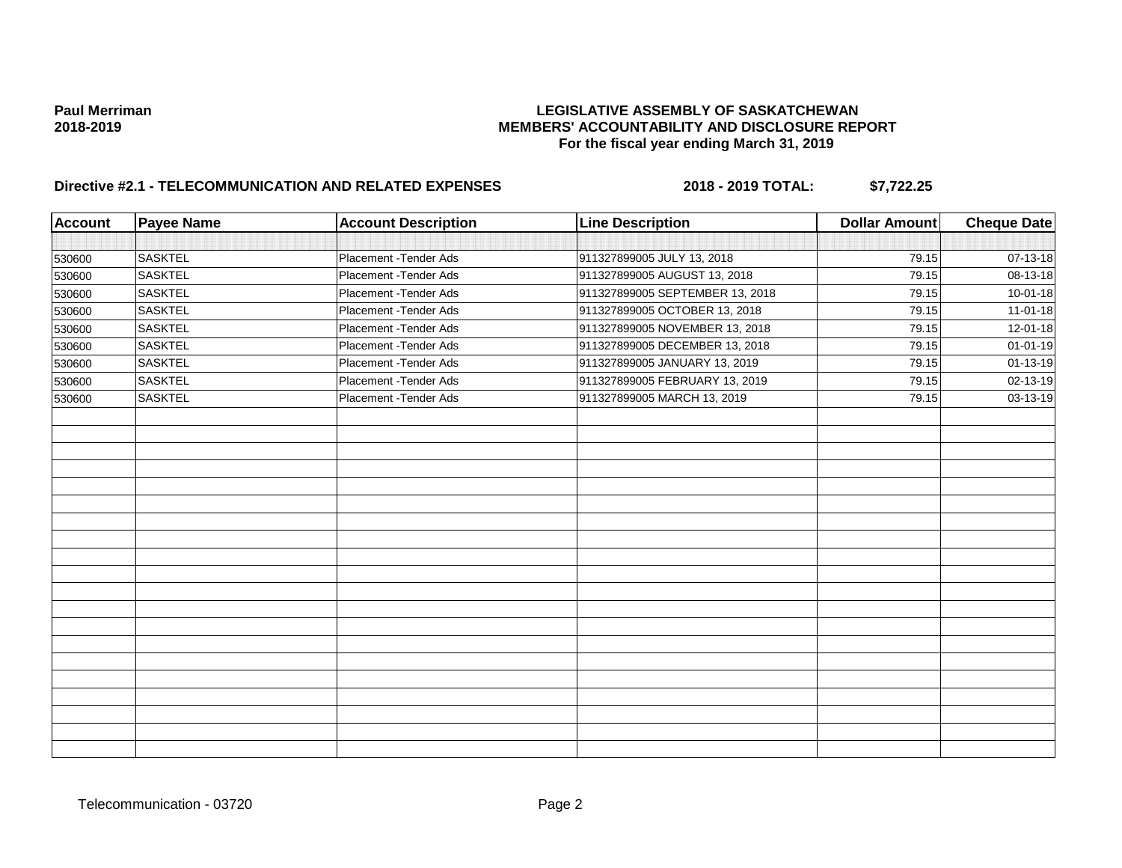| <b>Account</b> | <b>Payee Name</b> | <b>Account Description</b> | <b>Line Description</b>         | <b>Dollar Amount</b> | <b>Cheque Date</b> |
|----------------|-------------------|----------------------------|---------------------------------|----------------------|--------------------|
|                |                   |                            |                                 |                      |                    |
| 530600         | <b>SASKTEL</b>    | Placement - Tender Ads     | 911327899005 JULY 13, 2018      | 79.15                | 07-13-18           |
| 530600         | <b>SASKTEL</b>    | Placement - Tender Ads     | 911327899005 AUGUST 13, 2018    | 79.15                | 08-13-18           |
| 530600         | <b>SASKTEL</b>    | Placement - Tender Ads     | 911327899005 SEPTEMBER 13, 2018 | 79.15                | $10 - 01 - 18$     |
| 530600         | <b>SASKTEL</b>    | Placement - Tender Ads     | 911327899005 OCTOBER 13, 2018   | 79.15                | 11-01-18           |
| 530600         | <b>SASKTEL</b>    | Placement - Tender Ads     | 911327899005 NOVEMBER 13, 2018  | 79.15                | 12-01-18           |
| 530600         | <b>SASKTEL</b>    | Placement - Tender Ads     | 911327899005 DECEMBER 13, 2018  | 79.15                | $01 - 01 - 19$     |
| 530600         | <b>SASKTEL</b>    | Placement - Tender Ads     | 911327899005 JANUARY 13, 2019   | 79.15                | $01 - 13 - 19$     |
| 530600         | <b>SASKTEL</b>    | Placement - Tender Ads     | 911327899005 FEBRUARY 13, 2019  | 79.15                | 02-13-19           |
| 530600         | <b>SASKTEL</b>    | Placement - Tender Ads     | 911327899005 MARCH 13, 2019     | 79.15                | 03-13-19           |
|                |                   |                            |                                 |                      |                    |
|                |                   |                            |                                 |                      |                    |
|                |                   |                            |                                 |                      |                    |
|                |                   |                            |                                 |                      |                    |
|                |                   |                            |                                 |                      |                    |
|                |                   |                            |                                 |                      |                    |
|                |                   |                            |                                 |                      |                    |
|                |                   |                            |                                 |                      |                    |
|                |                   |                            |                                 |                      |                    |
|                |                   |                            |                                 |                      |                    |
|                |                   |                            |                                 |                      |                    |
|                |                   |                            |                                 |                      |                    |
|                |                   |                            |                                 |                      |                    |
|                |                   |                            |                                 |                      |                    |
|                |                   |                            |                                 |                      |                    |
|                |                   |                            |                                 |                      |                    |
|                |                   |                            |                                 |                      |                    |
|                |                   |                            |                                 |                      |                    |
|                |                   |                            |                                 |                      |                    |
|                |                   |                            |                                 |                      |                    |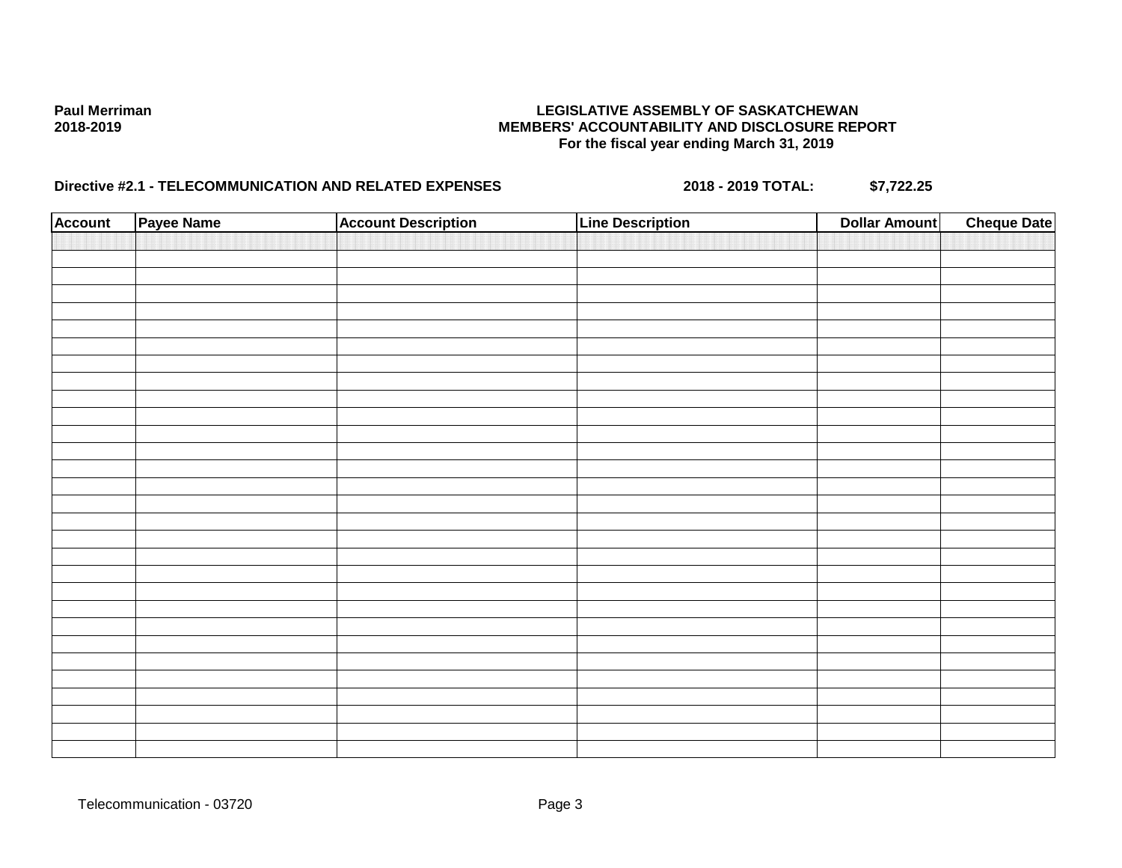| <b>Account</b> | Payee Name | <b>Account Description</b> | <b>Line Description</b> | <b>Dollar Amount</b> | <b>Cheque Date</b> |
|----------------|------------|----------------------------|-------------------------|----------------------|--------------------|
|                |            |                            |                         |                      |                    |
|                |            |                            |                         |                      |                    |
|                |            |                            |                         |                      |                    |
|                |            |                            |                         |                      |                    |
|                |            |                            |                         |                      |                    |
|                |            |                            |                         |                      |                    |
|                |            |                            |                         |                      |                    |
|                |            |                            |                         |                      |                    |
|                |            |                            |                         |                      |                    |
|                |            |                            |                         |                      |                    |
|                |            |                            |                         |                      |                    |
|                |            |                            |                         |                      |                    |
|                |            |                            |                         |                      |                    |
|                |            |                            |                         |                      |                    |
|                |            |                            |                         |                      |                    |
|                |            |                            |                         |                      |                    |
|                |            |                            |                         |                      |                    |
|                |            |                            |                         |                      |                    |
|                |            |                            |                         |                      |                    |
|                |            |                            |                         |                      |                    |
|                |            |                            |                         |                      |                    |
|                |            |                            |                         |                      |                    |
|                |            |                            |                         |                      |                    |
|                |            |                            |                         |                      |                    |
|                |            |                            |                         |                      |                    |
|                |            |                            |                         |                      |                    |
|                |            |                            |                         |                      |                    |
|                |            |                            |                         |                      |                    |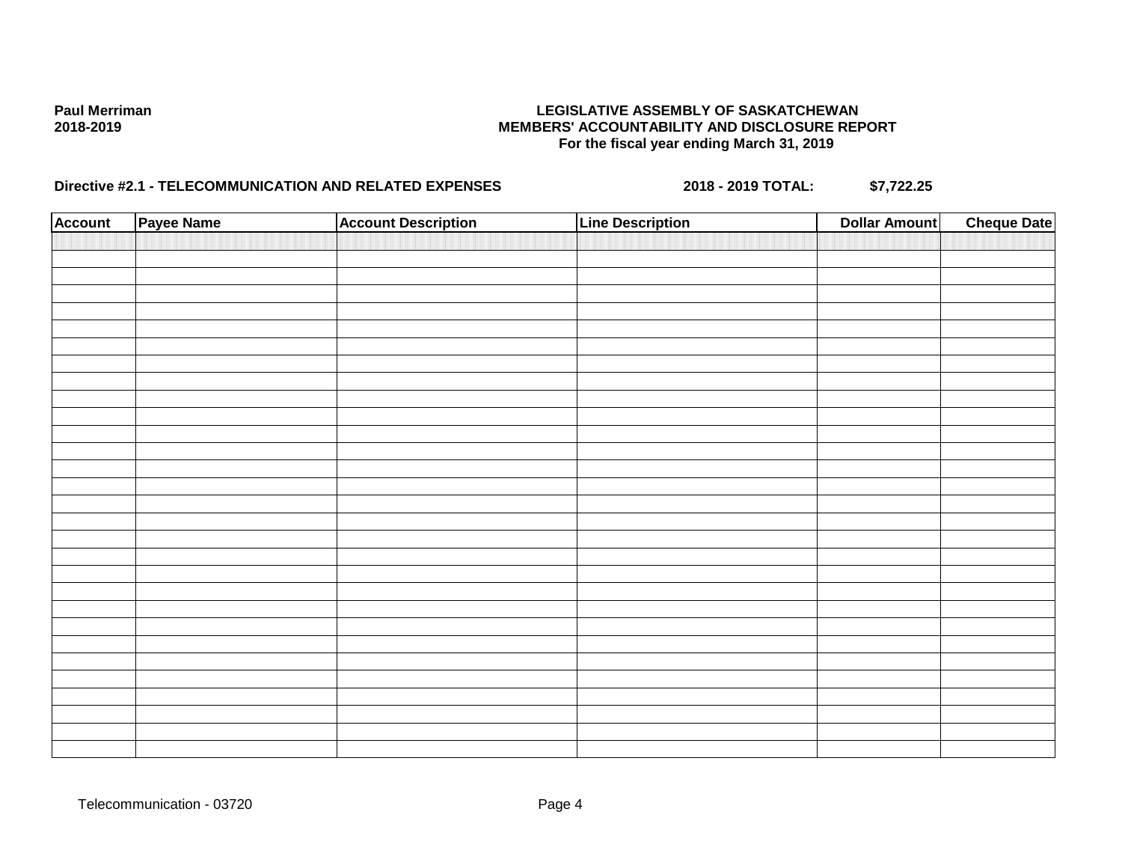| <b>Account</b> | Payee Name | <b>Account Description</b> | <b>Line Description</b> | <b>Dollar Amount</b> | <b>Cheque Date</b> |
|----------------|------------|----------------------------|-------------------------|----------------------|--------------------|
|                |            |                            |                         |                      |                    |
|                |            |                            |                         |                      |                    |
|                |            |                            |                         |                      |                    |
|                |            |                            |                         |                      |                    |
|                |            |                            |                         |                      |                    |
|                |            |                            |                         |                      |                    |
|                |            |                            |                         |                      |                    |
|                |            |                            |                         |                      |                    |
|                |            |                            |                         |                      |                    |
|                |            |                            |                         |                      |                    |
|                |            |                            |                         |                      |                    |
|                |            |                            |                         |                      |                    |
|                |            |                            |                         |                      |                    |
|                |            |                            |                         |                      |                    |
|                |            |                            |                         |                      |                    |
|                |            |                            |                         |                      |                    |
|                |            |                            |                         |                      |                    |
|                |            |                            |                         |                      |                    |
|                |            |                            |                         |                      |                    |
|                |            |                            |                         |                      |                    |
|                |            |                            |                         |                      |                    |
|                |            |                            |                         |                      |                    |
|                |            |                            |                         |                      |                    |
|                |            |                            |                         |                      |                    |
|                |            |                            |                         |                      |                    |
|                |            |                            |                         |                      |                    |
|                |            |                            |                         |                      |                    |
|                |            |                            |                         |                      |                    |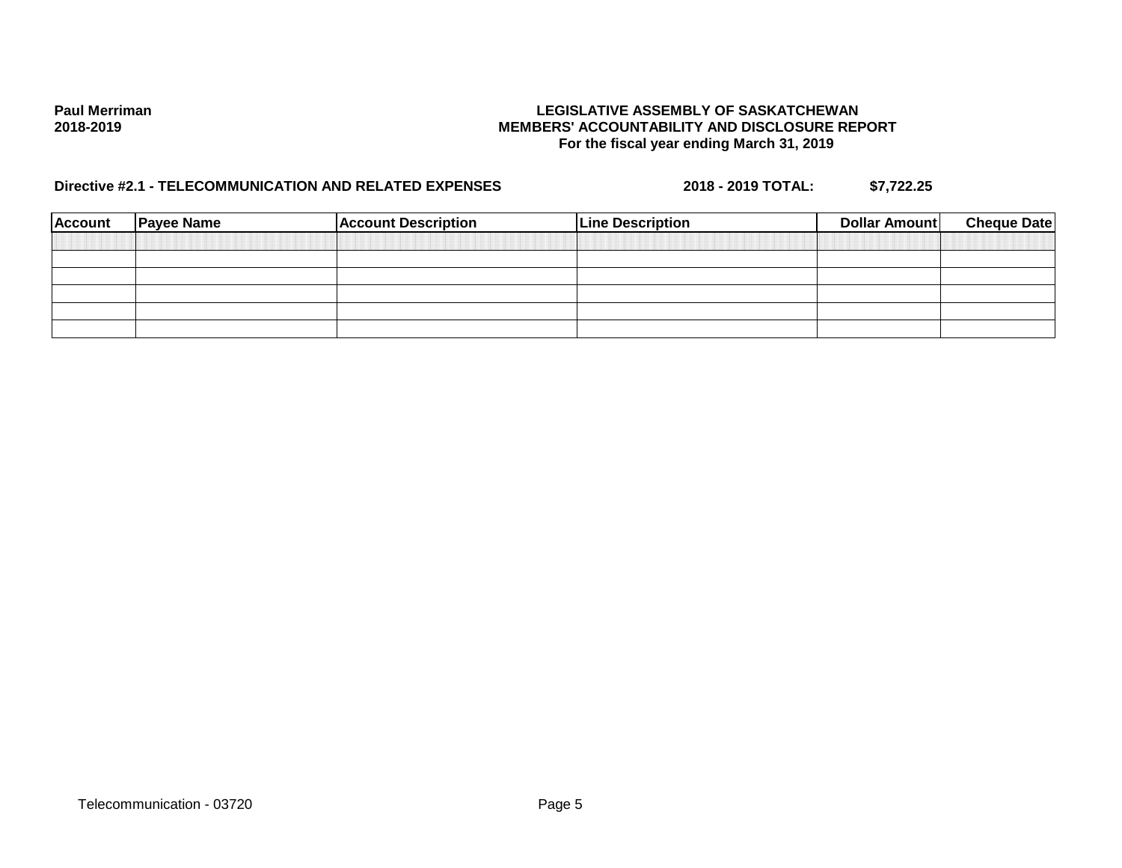| <b>Account</b> | <b>Payee Name</b> | <b>Account Description</b> | <b>Line Description</b> | Dollar Amount | <b>Cheque Date</b> |
|----------------|-------------------|----------------------------|-------------------------|---------------|--------------------|
|                |                   |                            |                         |               |                    |
|                |                   |                            |                         |               |                    |
|                |                   |                            |                         |               |                    |
|                |                   |                            |                         |               |                    |
|                |                   |                            |                         |               |                    |
|                |                   |                            |                         |               |                    |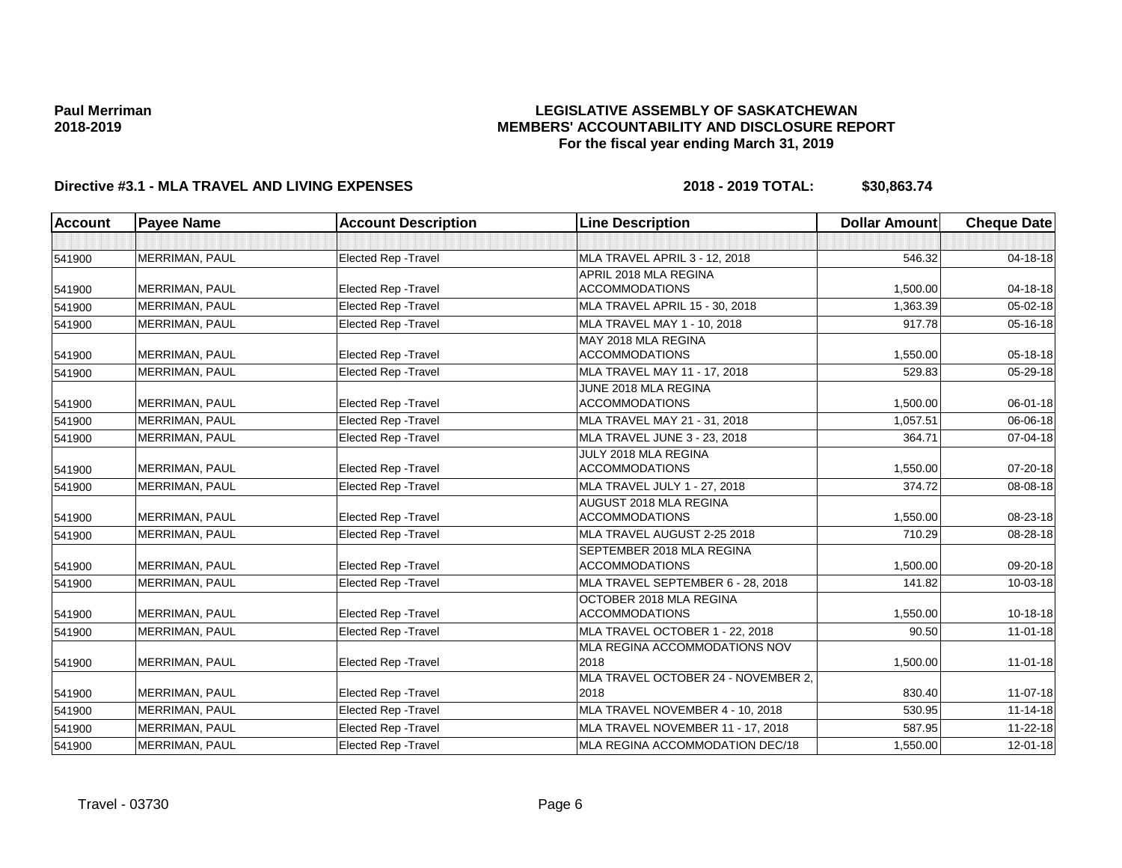### **LEGISLATIVE ASSEMBLY OF SASKATCHEWAN MEMBERS' ACCOUNTABILITY AND DISCLOSURE REPORT For the fiscal year ending March 31, 2019**

| <b>Account</b> | <b>Payee Name</b>     | <b>Account Description</b>  | <b>Line Description</b>                     | <b>Dollar Amount</b> | <b>Cheque Date</b> |
|----------------|-----------------------|-----------------------------|---------------------------------------------|----------------------|--------------------|
|                |                       |                             |                                             |                      |                    |
| 541900         | MERRIMAN, PAUL        | <b>Elected Rep - Travel</b> | MLA TRAVEL APRIL 3 - 12, 2018               | 546.32               | $04 - 18 - 18$     |
|                |                       |                             | APRIL 2018 MLA REGINA                       |                      |                    |
| 541900         | MERRIMAN, PAUL        | Elected Rep - Travel        | <b>ACCOMMODATIONS</b>                       | 1,500.00             | 04-18-18           |
| 541900         | MERRIMAN, PAUL        | <b>Elected Rep - Travel</b> | MLA TRAVEL APRIL 15 - 30, 2018              | 1,363.39             | 05-02-18           |
| 541900         | MERRIMAN, PAUL        | <b>Elected Rep - Travel</b> | MLA TRAVEL MAY 1 - 10, 2018                 | 917.78               | 05-16-18           |
|                |                       |                             | MAY 2018 MLA REGINA                         |                      |                    |
| 541900         | MERRIMAN, PAUL        | Elected Rep - Travel        | <b>ACCOMMODATIONS</b>                       | 1,550.00             | 05-18-18           |
| 541900         | MERRIMAN, PAUL        | <b>Elected Rep - Travel</b> | MLA TRAVEL MAY 11 - 17, 2018                | 529.83               | $05 - 29 - 18$     |
|                |                       |                             | JUNE 2018 MLA REGINA                        |                      |                    |
| 541900         | MERRIMAN, PAUL        | <b>Elected Rep - Travel</b> | <b>ACCOMMODATIONS</b>                       | 1,500.00             | $06 - 01 - 18$     |
| 541900         | MERRIMAN, PAUL        | Elected Rep - Travel        | MLA TRAVEL MAY 21 - 31, 2018                | 1,057.51             | 06-06-18           |
| 541900         | MERRIMAN, PAUL        | Elected Rep - Travel        | MLA TRAVEL JUNE 3 - 23, 2018                | 364.71               | 07-04-18           |
|                |                       |                             | JULY 2018 MLA REGINA                        |                      |                    |
| 541900         | MERRIMAN, PAUL        | <b>Elected Rep - Travel</b> | <b>ACCOMMODATIONS</b>                       | 1,550.00             | 07-20-18           |
| 541900         | MERRIMAN, PAUL        | <b>Elected Rep - Travel</b> | MLA TRAVEL JULY 1 - 27, 2018                | 374.72               | 08-08-18           |
|                |                       |                             | AUGUST 2018 MLA REGINA                      |                      |                    |
| 541900         | MERRIMAN, PAUL        | <b>Elected Rep - Travel</b> | <b>ACCOMMODATIONS</b>                       | 1,550.00             | 08-23-18           |
| 541900         | MERRIMAN, PAUL        | <b>Elected Rep - Travel</b> | MLA TRAVEL AUGUST 2-25 2018                 | 710.29               | 08-28-18           |
|                |                       |                             | <b>SEPTEMBER 2018 MLA REGINA</b>            |                      |                    |
| 541900         | MERRIMAN, PAUL        | <b>Elected Rep - Travel</b> | <b>ACCOMMODATIONS</b>                       | 1,500.00             | 09-20-18           |
| 541900         | MERRIMAN, PAUL        | <b>Elected Rep - Travel</b> | MLA TRAVEL SEPTEMBER 6 - 28, 2018           | 141.82               | 10-03-18           |
|                |                       |                             | OCTOBER 2018 MLA REGINA                     |                      |                    |
| 541900         | MERRIMAN, PAUL        | <b>Elected Rep - Travel</b> | <b>ACCOMMODATIONS</b>                       | 1,550.00             | 10-18-18           |
| 541900         | MERRIMAN, PAUL        | <b>Elected Rep - Travel</b> | MLA TRAVEL OCTOBER 1 - 22, 2018             | 90.50                | $11-01-18$         |
|                |                       |                             | MLA REGINA ACCOMMODATIONS NOV               |                      |                    |
| 541900         | MERRIMAN, PAUL        | Elected Rep - Travel        | 2018                                        | 1,500.00             | $11-01-18$         |
|                |                       |                             | MLA TRAVEL OCTOBER 24 - NOVEMBER 2,<br>2018 | 830.40               |                    |
| 541900         | MERRIMAN, PAUL        | Elected Rep - Travel        |                                             |                      | 11-07-18           |
| 541900         | MERRIMAN, PAUL        | Elected Rep - Travel        | MLA TRAVEL NOVEMBER 4 - 10, 2018            | 530.95               | $11 - 14 - 18$     |
| 541900         | MERRIMAN, PAUL        | <b>Elected Rep - Travel</b> | MLA TRAVEL NOVEMBER 11 - 17, 2018           | 587.95               | $11 - 22 - 18$     |
| 541900         | <b>MERRIMAN, PAUL</b> | Elected Rep - Travel        | MLA REGINA ACCOMMODATION DEC/18             | 1,550.00             | $12 - 01 - 18$     |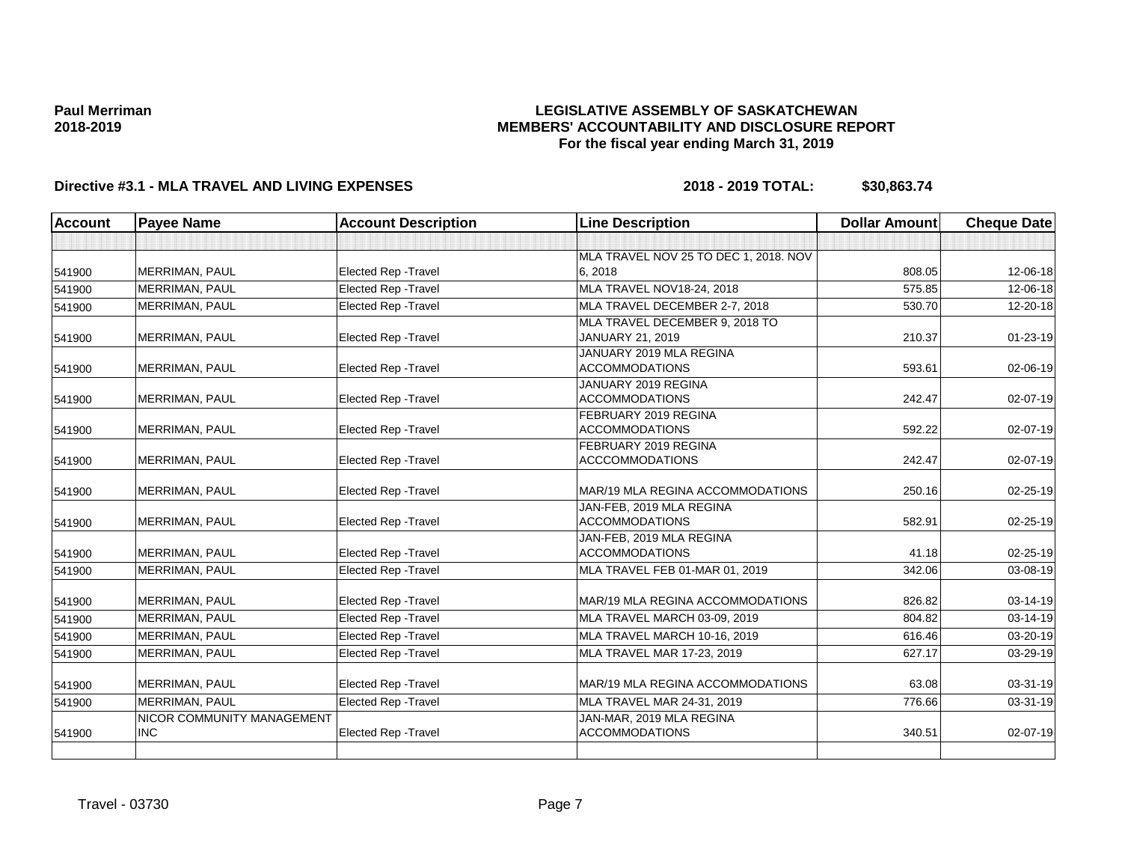### **LEGISLATIVE ASSEMBLY OF SASKATCHEWAN MEMBERS' ACCOUNTABILITY AND DISCLOSURE REPORT For the fiscal year ending March 31, 2019**

| <b>Account</b> | <b>Payee Name</b>                        | <b>Account Description</b>  | <b>Line Description</b>                           | <b>Dollar Amount</b> | <b>Cheque Date</b> |
|----------------|------------------------------------------|-----------------------------|---------------------------------------------------|----------------------|--------------------|
|                |                                          |                             |                                                   |                      |                    |
|                |                                          |                             | MLA TRAVEL NOV 25 TO DEC 1, 2018. NOV             |                      |                    |
| 541900         | <b>MERRIMAN, PAUL</b>                    | <b>Elected Rep - Travel</b> | 6, 2018                                           | 808.05               | 12-06-18           |
| 541900         | <b>MERRIMAN, PAUL</b>                    | <b>Elected Rep - Travel</b> | MLA TRAVEL NOV18-24, 2018                         | 575.85               | 12-06-18           |
| 541900         | MERRIMAN, PAUL                           | Elected Rep - Travel        | MLA TRAVEL DECEMBER 2-7, 2018                     | 530.70               | 12-20-18           |
|                |                                          |                             | MLA TRAVEL DECEMBER 9, 2018 TO                    |                      |                    |
| 541900         | MERRIMAN, PAUL                           | Elected Rep - Travel        | JANUARY 21, 2019                                  | 210.37               | $01 - 23 - 19$     |
|                |                                          |                             | JANUARY 2019 MLA REGINA                           |                      |                    |
| 541900         | MERRIMAN, PAUL                           | Elected Rep - Travel        | <b>ACCOMMODATIONS</b>                             | 593.61               | 02-06-19           |
|                |                                          |                             | JANUARY 2019 REGINA                               |                      |                    |
| 541900         | <b>MERRIMAN, PAUL</b>                    | Elected Rep - Travel        | <b>ACCOMMODATIONS</b>                             | 242.47               | 02-07-19           |
|                |                                          |                             | FEBRUARY 2019 REGINA                              |                      |                    |
| 541900         | MERRIMAN, PAUL                           | Elected Rep - Travel        | <b>ACCOMMODATIONS</b>                             | 592.22               | 02-07-19           |
|                |                                          |                             | FEBRUARY 2019 REGINA                              |                      |                    |
| 541900         | <b>MERRIMAN, PAUL</b>                    | Elected Rep - Travel        | <b>ACCCOMMODATIONS</b>                            | 242.47               | 02-07-19           |
| 541900         | <b>MERRIMAN, PAUL</b>                    | <b>Elected Rep - Travel</b> | MAR/19 MLA REGINA ACCOMMODATIONS                  | 250.16               | 02-25-19           |
|                |                                          |                             | JAN-FEB, 2019 MLA REGINA                          |                      |                    |
| 541900         | <b>MERRIMAN, PAUL</b>                    | <b>Elected Rep - Travel</b> | <b>ACCOMMODATIONS</b>                             | 582.91               | 02-25-19           |
|                |                                          |                             | JAN-FEB, 2019 MLA REGINA                          |                      |                    |
| 541900         | <b>MERRIMAN, PAUL</b>                    | <b>Elected Rep - Travel</b> | <b>ACCOMMODATIONS</b>                             | 41.18                | $02 - 25 - 19$     |
| 541900         | MERRIMAN, PAUL                           | Elected Rep - Travel        | MLA TRAVEL FEB 01-MAR 01, 2019                    | 342.06               | 03-08-19           |
|                |                                          |                             |                                                   |                      |                    |
| 541900         | MERRIMAN, PAUL                           | <b>Elected Rep - Travel</b> | MAR/19 MLA REGINA ACCOMMODATIONS                  | 826.82               | 03-14-19           |
| 541900         | MERRIMAN, PAUL                           | Elected Rep - Travel        | MLA TRAVEL MARCH 03-09, 2019                      | 804.82               | $03 - 14 - 19$     |
| 541900         | MERRIMAN, PAUL                           | <b>Elected Rep - Travel</b> | MLA TRAVEL MARCH 10-16, 2019                      | 616.46               | 03-20-19           |
| 541900         | MERRIMAN, PAUL                           | Elected Rep - Travel        | MLA TRAVEL MAR 17-23, 2019                        | 627.17               | 03-29-19           |
| 541900         | <b>MERRIMAN, PAUL</b>                    | <b>Elected Rep - Travel</b> | MAR/19 MLA REGINA ACCOMMODATIONS                  | 63.08                | 03-31-19           |
|                | MERRIMAN, PAUL                           | Elected Rep - Travel        | MLA TRAVEL MAR 24-31, 2019                        | 776.66               | $03 - 31 - 19$     |
| 541900         |                                          |                             |                                                   |                      |                    |
|                | NICOR COMMUNITY MANAGEMENT<br><b>INC</b> |                             | JAN-MAR, 2019 MLA REGINA<br><b>ACCOMMODATIONS</b> | 340.51               | 02-07-19           |
| 541900         |                                          | Elected Rep - Travel        |                                                   |                      |                    |
|                |                                          |                             |                                                   |                      |                    |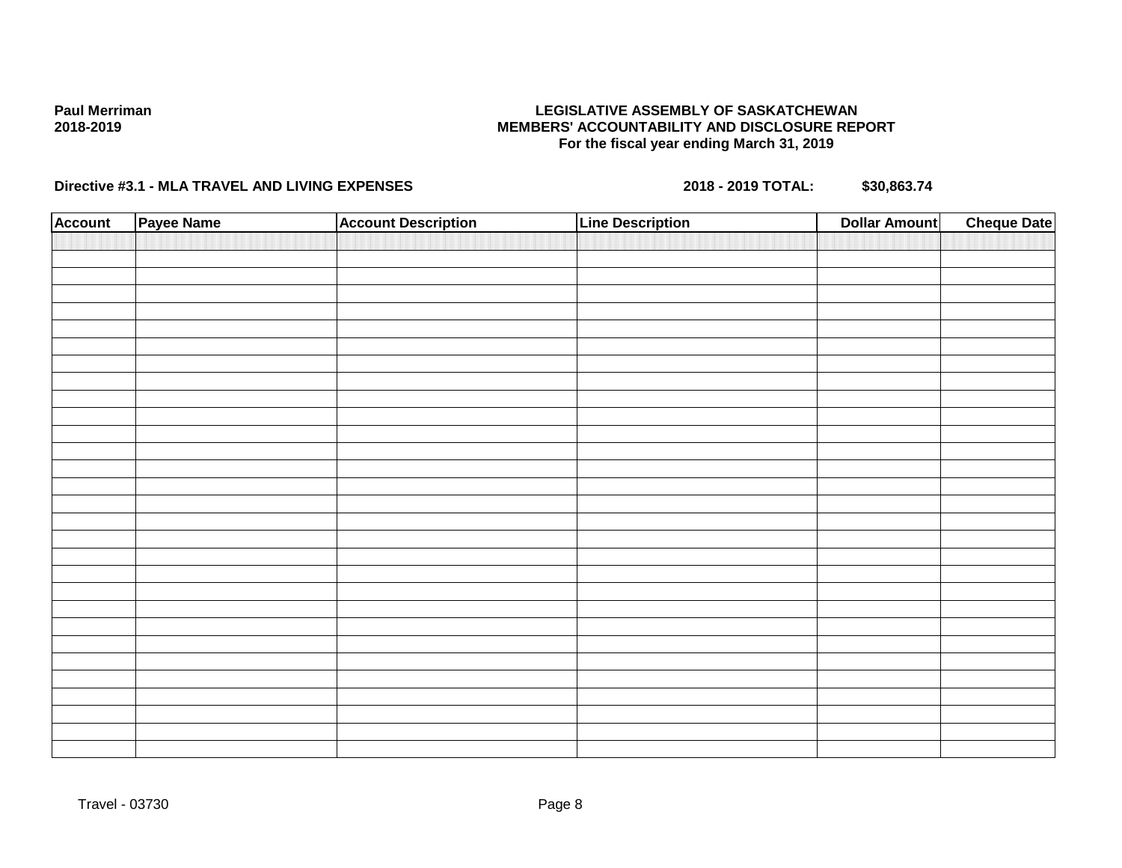### **LEGISLATIVE ASSEMBLY OF SASKATCHEWAN MEMBERS' ACCOUNTABILITY AND DISCLOSURE REPORT For the fiscal year ending March 31, 2019**

| <b>Account</b> | Payee Name | <b>Account Description</b> | <b>Line Description</b> | <b>Dollar Amount</b> | <b>Cheque Date</b> |
|----------------|------------|----------------------------|-------------------------|----------------------|--------------------|
|                |            |                            |                         |                      |                    |
|                |            |                            |                         |                      |                    |
|                |            |                            |                         |                      |                    |
|                |            |                            |                         |                      |                    |
|                |            |                            |                         |                      |                    |
|                |            |                            |                         |                      |                    |
|                |            |                            |                         |                      |                    |
|                |            |                            |                         |                      |                    |
|                |            |                            |                         |                      |                    |
|                |            |                            |                         |                      |                    |
|                |            |                            |                         |                      |                    |
|                |            |                            |                         |                      |                    |
|                |            |                            |                         |                      |                    |
|                |            |                            |                         |                      |                    |
|                |            |                            |                         |                      |                    |
|                |            |                            |                         |                      |                    |
|                |            |                            |                         |                      |                    |
|                |            |                            |                         |                      |                    |
|                |            |                            |                         |                      |                    |
|                |            |                            |                         |                      |                    |
|                |            |                            |                         |                      |                    |
|                |            |                            |                         |                      |                    |
|                |            |                            |                         |                      |                    |
|                |            |                            |                         |                      |                    |
|                |            |                            |                         |                      |                    |
|                |            |                            |                         |                      |                    |
|                |            |                            |                         |                      |                    |
|                |            |                            |                         |                      |                    |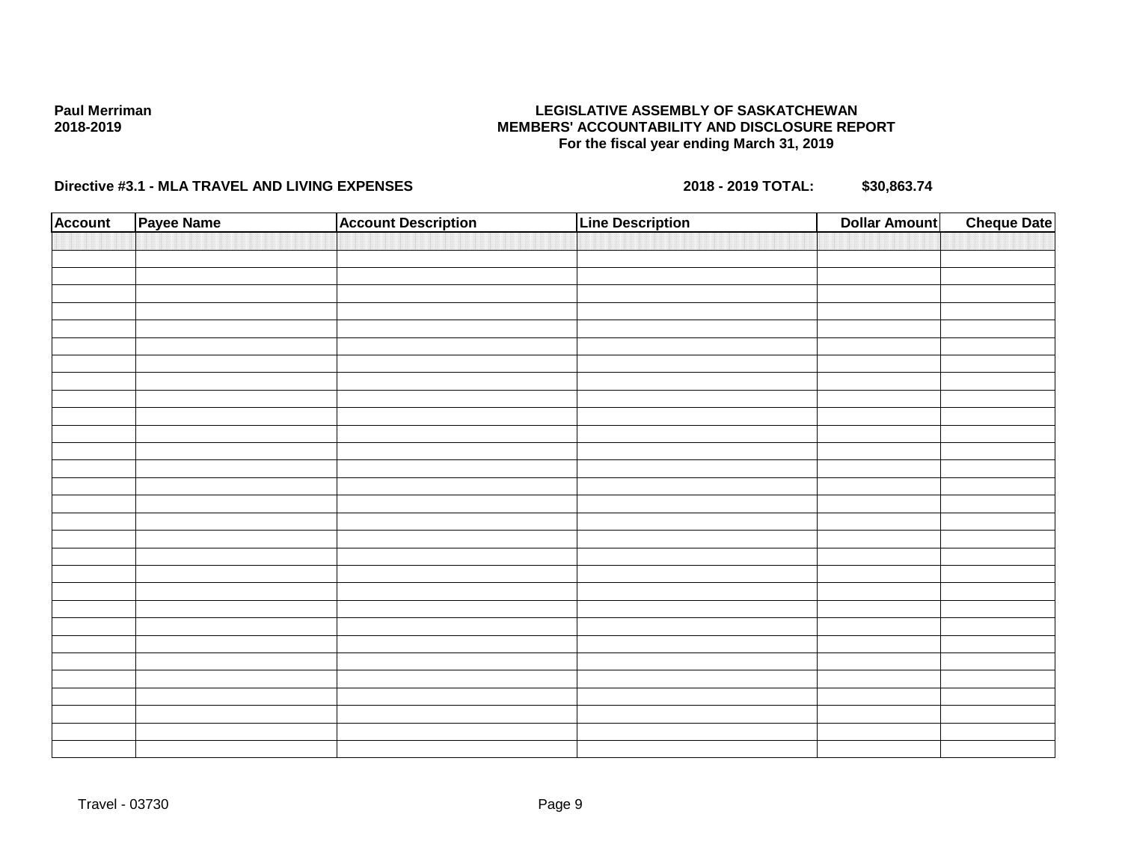### **LEGISLATIVE ASSEMBLY OF SASKATCHEWAN MEMBERS' ACCOUNTABILITY AND DISCLOSURE REPORT For the fiscal year ending March 31, 2019**

| <b>Account</b> | Payee Name | <b>Account Description</b> | <b>Line Description</b> | <b>Dollar Amount</b> | <b>Cheque Date</b> |
|----------------|------------|----------------------------|-------------------------|----------------------|--------------------|
|                |            |                            |                         |                      |                    |
|                |            |                            |                         |                      |                    |
|                |            |                            |                         |                      |                    |
|                |            |                            |                         |                      |                    |
|                |            |                            |                         |                      |                    |
|                |            |                            |                         |                      |                    |
|                |            |                            |                         |                      |                    |
|                |            |                            |                         |                      |                    |
|                |            |                            |                         |                      |                    |
|                |            |                            |                         |                      |                    |
|                |            |                            |                         |                      |                    |
|                |            |                            |                         |                      |                    |
|                |            |                            |                         |                      |                    |
|                |            |                            |                         |                      |                    |
|                |            |                            |                         |                      |                    |
|                |            |                            |                         |                      |                    |
|                |            |                            |                         |                      |                    |
|                |            |                            |                         |                      |                    |
|                |            |                            |                         |                      |                    |
|                |            |                            |                         |                      |                    |
|                |            |                            |                         |                      |                    |
|                |            |                            |                         |                      |                    |
|                |            |                            |                         |                      |                    |
|                |            |                            |                         |                      |                    |
|                |            |                            |                         |                      |                    |
|                |            |                            |                         |                      |                    |
|                |            |                            |                         |                      |                    |
|                |            |                            |                         |                      |                    |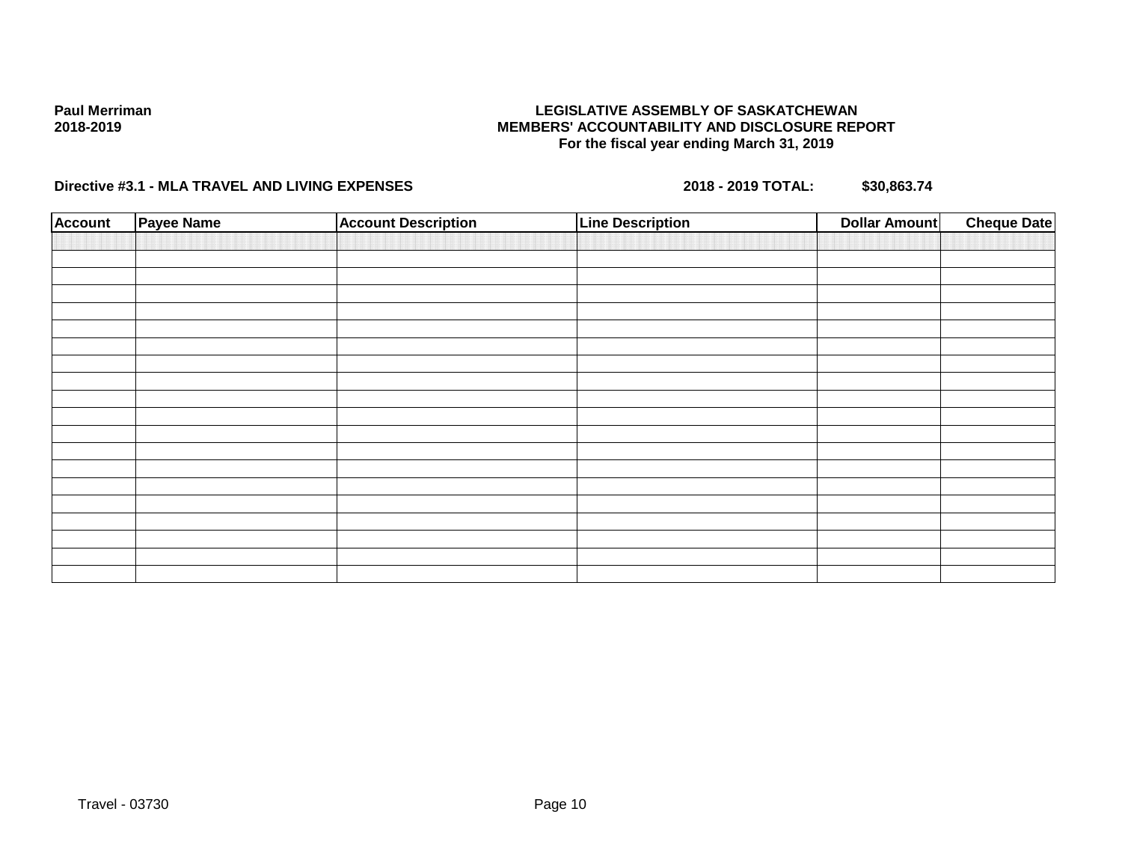### **LEGISLATIVE ASSEMBLY OF SASKATCHEWAN MEMBERS' ACCOUNTABILITY AND DISCLOSURE REPORT For the fiscal year ending March 31, 2019**

| <b>Account</b> | Payee Name | <b>Account Description</b> | <b>Line Description</b> | <b>Dollar Amount</b> | <b>Cheque Date</b> |
|----------------|------------|----------------------------|-------------------------|----------------------|--------------------|
|                |            |                            |                         |                      |                    |
|                |            |                            |                         |                      |                    |
|                |            |                            |                         |                      |                    |
|                |            |                            |                         |                      |                    |
|                |            |                            |                         |                      |                    |
|                |            |                            |                         |                      |                    |
|                |            |                            |                         |                      |                    |
|                |            |                            |                         |                      |                    |
|                |            |                            |                         |                      |                    |
|                |            |                            |                         |                      |                    |
|                |            |                            |                         |                      |                    |
|                |            |                            |                         |                      |                    |
|                |            |                            |                         |                      |                    |
|                |            |                            |                         |                      |                    |
|                |            |                            |                         |                      |                    |
|                |            |                            |                         |                      |                    |
|                |            |                            |                         |                      |                    |
|                |            |                            |                         |                      |                    |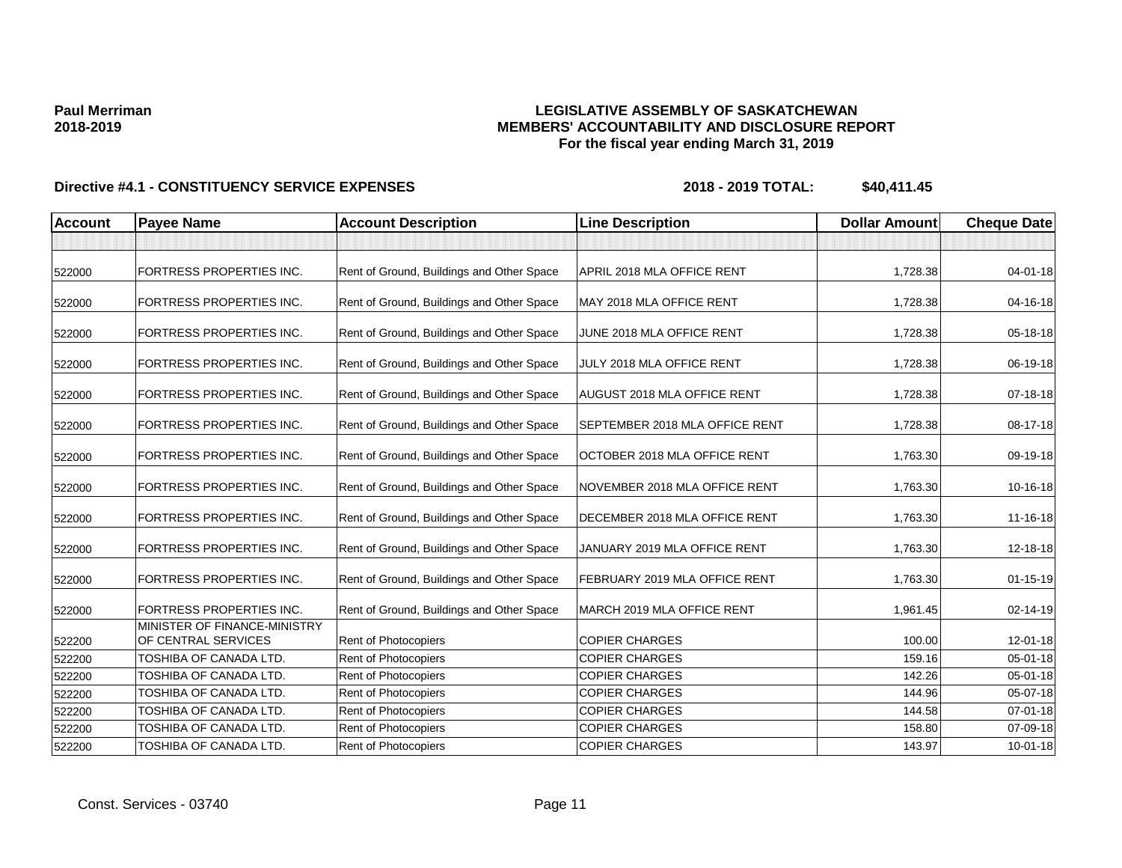### **LEGISLATIVE ASSEMBLY OF SASKATCHEWAN MEMBERS' ACCOUNTABILITY AND DISCLOSURE REPORT For the fiscal year ending March 31, 2019**

| <b>Account</b> | <b>Payee Name</b>                                        | <b>Account Description</b>                | <b>Line Description</b>               | <b>Dollar Amount</b> | <b>Cheque Date</b> |
|----------------|----------------------------------------------------------|-------------------------------------------|---------------------------------------|----------------------|--------------------|
|                |                                                          |                                           |                                       |                      |                    |
| 522000         | <b>FORTRESS PROPERTIES INC.</b>                          | Rent of Ground, Buildings and Other Space | APRIL 2018 MLA OFFICE RENT            | 1,728.38             | $04 - 01 - 18$     |
| 522000         | FORTRESS PROPERTIES INC.                                 | Rent of Ground, Buildings and Other Space | MAY 2018 MLA OFFICE RENT              | 1,728.38             | 04-16-18           |
| 522000         | <b>FORTRESS PROPERTIES INC.</b>                          | Rent of Ground, Buildings and Other Space | JUNE 2018 MLA OFFICE RENT             | 1,728.38             | 05-18-18           |
| 522000         | <b>FORTRESS PROPERTIES INC.</b>                          | Rent of Ground, Buildings and Other Space | JULY 2018 MLA OFFICE RENT             | 1,728.38             | 06-19-18           |
| 522000         | <b>FORTRESS PROPERTIES INC.</b>                          | Rent of Ground, Buildings and Other Space | AUGUST 2018 MLA OFFICE RENT           | 1,728.38             | 07-18-18           |
| 522000         | <b>FORTRESS PROPERTIES INC.</b>                          | Rent of Ground, Buildings and Other Space | <b>SEPTEMBER 2018 MLA OFFICE RENT</b> | 1,728.38             | 08-17-18           |
| 522000         | <b>FORTRESS PROPERTIES INC.</b>                          | Rent of Ground, Buildings and Other Space | OCTOBER 2018 MLA OFFICE RENT          | 1,763.30             | 09-19-18           |
| 522000         | <b>FORTRESS PROPERTIES INC.</b>                          | Rent of Ground, Buildings and Other Space | NOVEMBER 2018 MLA OFFICE RENT         | 1,763.30             | 10-16-18           |
| 522000         | FORTRESS PROPERTIES INC.                                 | Rent of Ground, Buildings and Other Space | DECEMBER 2018 MLA OFFICE RENT         | 1,763.30             | 11-16-18           |
| 522000         | <b>FORTRESS PROPERTIES INC.</b>                          | Rent of Ground, Buildings and Other Space | JANUARY 2019 MLA OFFICE RENT          | 1,763.30             | 12-18-18           |
| 522000         | FORTRESS PROPERTIES INC.                                 | Rent of Ground, Buildings and Other Space | FEBRUARY 2019 MLA OFFICE RENT         | 1,763.30             | $01 - 15 - 19$     |
| 522000         | FORTRESS PROPERTIES INC.<br>MINISTER OF FINANCE-MINISTRY | Rent of Ground, Buildings and Other Space | MARCH 2019 MLA OFFICE RENT            | 1,961.45             | 02-14-19           |
| 522200         | OF CENTRAL SERVICES                                      | Rent of Photocopiers                      | <b>COPIER CHARGES</b>                 | 100.00               | $12 - 01 - 18$     |
| 522200         | TOSHIBA OF CANADA LTD.                                   | Rent of Photocopiers                      | <b>COPIER CHARGES</b>                 | 159.16               | 05-01-18           |
| 522200         | TOSHIBA OF CANADA LTD.                                   | Rent of Photocopiers                      | <b>COPIER CHARGES</b>                 | 142.26               | $05 - 01 - 18$     |
| 522200         | TOSHIBA OF CANADA LTD.                                   | <b>Rent of Photocopiers</b>               | <b>COPIER CHARGES</b>                 | 144.96               | 05-07-18           |
| 522200         | TOSHIBA OF CANADA LTD.                                   | Rent of Photocopiers                      | <b>COPIER CHARGES</b>                 | 144.58               | 07-01-18           |
| 522200         | TOSHIBA OF CANADA LTD.                                   | Rent of Photocopiers                      | <b>COPIER CHARGES</b>                 | 158.80               | 07-09-18           |
| 522200         | TOSHIBA OF CANADA LTD.                                   | Rent of Photocopiers                      | <b>COPIER CHARGES</b>                 | 143.97               | $10 - 01 - 18$     |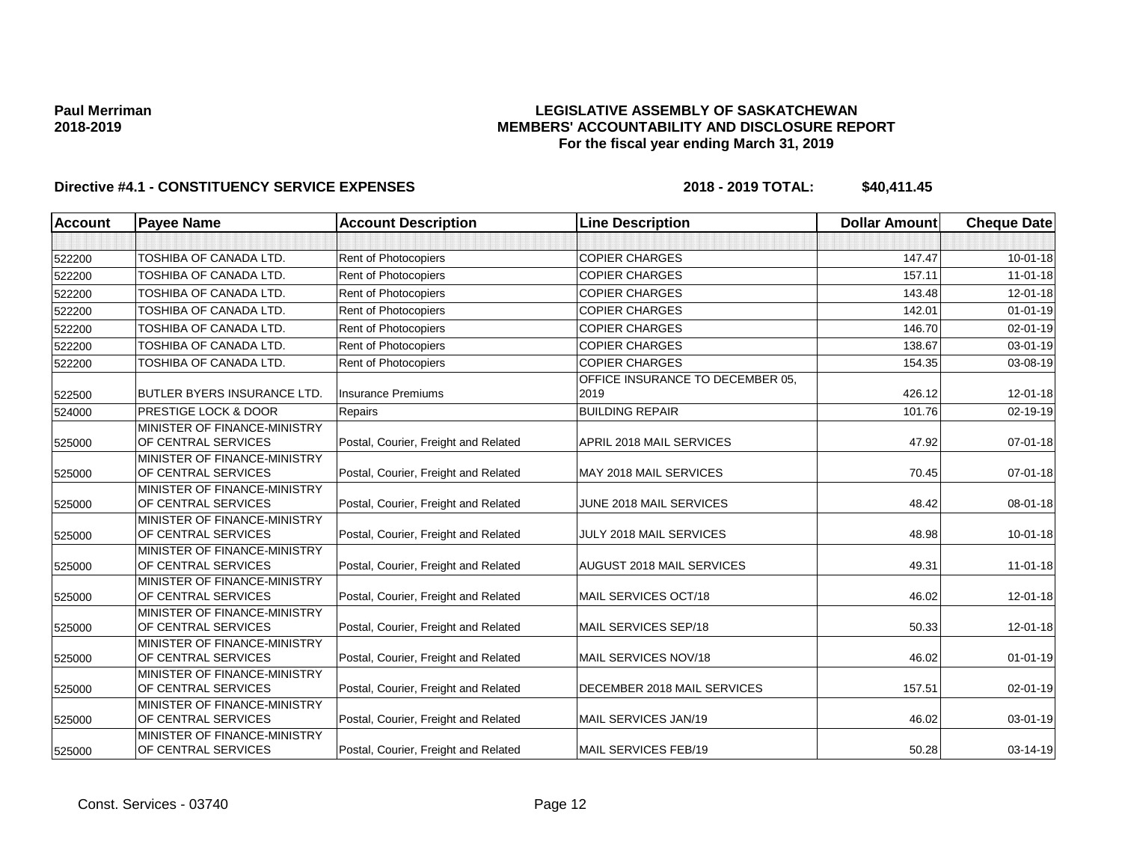### **LEGISLATIVE ASSEMBLY OF SASKATCHEWAN MEMBERS' ACCOUNTABILITY AND DISCLOSURE REPORT For the fiscal year ending March 31, 2019**

| <b>Account</b> | <b>Payee Name</b>                                   | <b>Account Description</b>           | <b>Line Description</b>          | <b>Dollar Amount</b> | <b>Cheque Date</b> |
|----------------|-----------------------------------------------------|--------------------------------------|----------------------------------|----------------------|--------------------|
|                |                                                     |                                      |                                  |                      |                    |
| 522200         | TOSHIBA OF CANADA LTD.                              | Rent of Photocopiers                 | <b>COPIER CHARGES</b>            | 147.47               | $10 - 01 - 18$     |
| 522200         | TOSHIBA OF CANADA LTD.                              | Rent of Photocopiers                 | <b>COPIER CHARGES</b>            | 157.11               | $11 - 01 - 18$     |
| 522200         | TOSHIBA OF CANADA LTD.                              | Rent of Photocopiers                 | <b>COPIER CHARGES</b>            | 143.48               | $12 - 01 - 18$     |
| 522200         | TOSHIBA OF CANADA LTD.                              | Rent of Photocopiers                 | <b>COPIER CHARGES</b>            | 142.01               | $01 - 01 - 19$     |
| 522200         | TOSHIBA OF CANADA LTD.                              | Rent of Photocopiers                 | <b>COPIER CHARGES</b>            | 146.70               | 02-01-19           |
| 522200         | TOSHIBA OF CANADA LTD.                              | Rent of Photocopiers                 | <b>COPIER CHARGES</b>            | 138.67               | $03 - 01 - 19$     |
| 522200         | TOSHIBA OF CANADA LTD.                              | Rent of Photocopiers                 | <b>COPIER CHARGES</b>            | 154.35               | 03-08-19           |
|                |                                                     |                                      | OFFICE INSURANCE TO DECEMBER 05, |                      |                    |
| 522500         | <b>BUTLER BYERS INSURANCE LTD.</b>                  | <b>Insurance Premiums</b>            | 2019                             | 426.12               | $12 - 01 - 18$     |
| 524000         | <b>PRESTIGE LOCK &amp; DOOR</b>                     | Repairs                              | <b>BUILDING REPAIR</b>           | 101.76               | $02 - 19 - 19$     |
| 525000         | MINISTER OF FINANCE-MINISTRY<br>OF CENTRAL SERVICES | Postal, Courier, Freight and Related | APRIL 2018 MAIL SERVICES         | 47.92                | 07-01-18           |
| 525000         | MINISTER OF FINANCE-MINISTRY<br>OF CENTRAL SERVICES | Postal, Courier, Freight and Related | MAY 2018 MAIL SERVICES           | 70.45                | $07 - 01 - 18$     |
| 525000         | MINISTER OF FINANCE-MINISTRY<br>OF CENTRAL SERVICES | Postal, Courier, Freight and Related | JUNE 2018 MAIL SERVICES          | 48.42                | 08-01-18           |
| 525000         | MINISTER OF FINANCE-MINISTRY<br>OF CENTRAL SERVICES | Postal, Courier, Freight and Related | JULY 2018 MAIL SERVICES          | 48.98                | $10 - 01 - 18$     |
| 525000         | MINISTER OF FINANCE-MINISTRY<br>OF CENTRAL SERVICES | Postal, Courier, Freight and Related | <b>AUGUST 2018 MAIL SERVICES</b> | 49.31                | $11 - 01 - 18$     |
| 525000         | MINISTER OF FINANCE-MINISTRY<br>OF CENTRAL SERVICES | Postal, Courier, Freight and Related | MAIL SERVICES OCT/18             | 46.02                | 12-01-18           |
| 525000         | MINISTER OF FINANCE-MINISTRY<br>OF CENTRAL SERVICES | Postal, Courier, Freight and Related | MAIL SERVICES SEP/18             | 50.33                | 12-01-18           |
| 525000         | MINISTER OF FINANCE-MINISTRY<br>OF CENTRAL SERVICES | Postal, Courier, Freight and Related | MAIL SERVICES NOV/18             | 46.02                | $01 - 01 - 19$     |
| 525000         | MINISTER OF FINANCE-MINISTRY<br>OF CENTRAL SERVICES | Postal, Courier, Freight and Related | DECEMBER 2018 MAIL SERVICES      | 157.51               | 02-01-19           |
| 525000         | MINISTER OF FINANCE-MINISTRY<br>OF CENTRAL SERVICES | Postal, Courier, Freight and Related | MAIL SERVICES JAN/19             | 46.02                | 03-01-19           |
| 525000         | MINISTER OF FINANCE-MINISTRY<br>OF CENTRAL SERVICES | Postal, Courier, Freight and Related | <b>MAIL SERVICES FEB/19</b>      | 50.28                | 03-14-19           |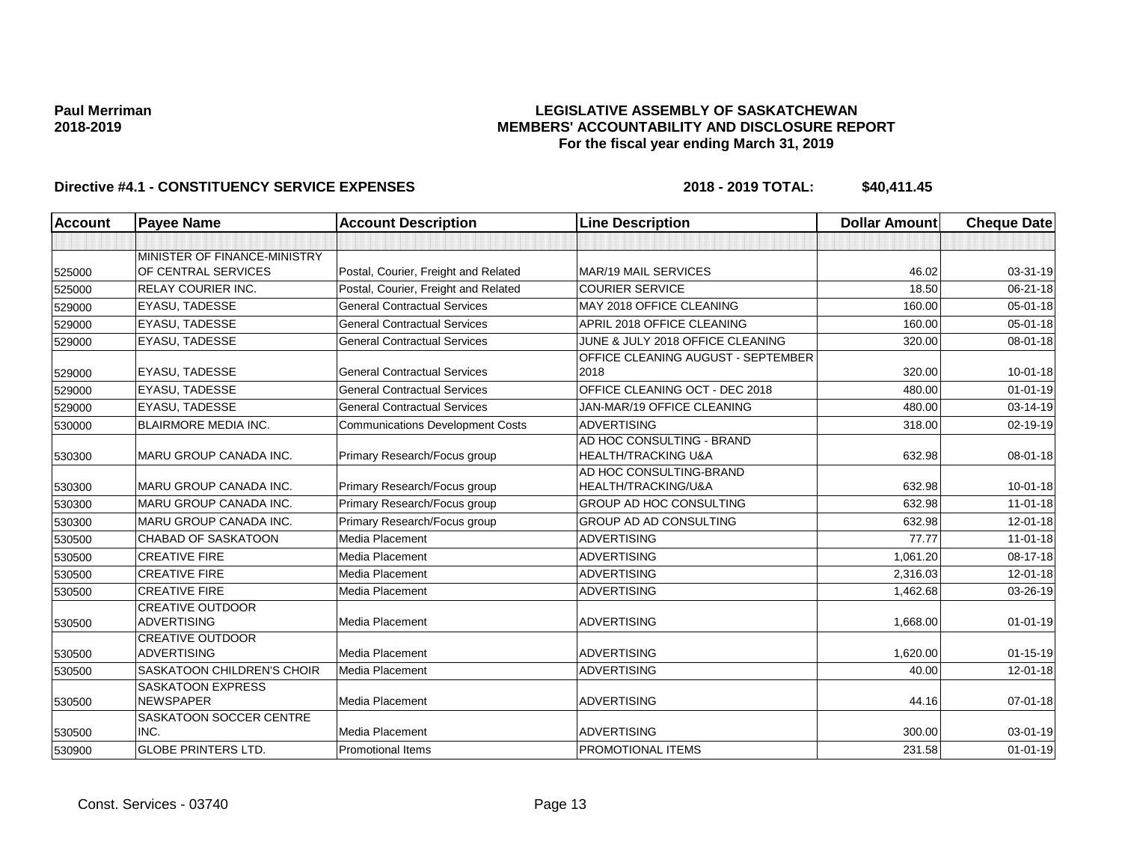### **LEGISLATIVE ASSEMBLY OF SASKATCHEWAN MEMBERS' ACCOUNTABILITY AND DISCLOSURE REPORT For the fiscal year ending March 31, 2019**

| <b>Account</b> | <b>Payee Name</b>                             | <b>Account Description</b>              | <b>Line Description</b>            | <b>Dollar Amount</b> | <b>Cheque Date</b> |
|----------------|-----------------------------------------------|-----------------------------------------|------------------------------------|----------------------|--------------------|
|                |                                               |                                         |                                    |                      |                    |
|                | MINISTER OF FINANCE-MINISTRY                  |                                         |                                    |                      |                    |
| 525000         | OF CENTRAL SERVICES                           | Postal, Courier, Freight and Related    | <b>MAR/19 MAIL SERVICES</b>        | 46.02                | 03-31-19           |
| 525000         | <b>RELAY COURIER INC.</b>                     | Postal, Courier, Freight and Related    | <b>COURIER SERVICE</b>             | 18.50                | 06-21-18           |
| 529000         | <b>EYASU, TADESSE</b>                         | <b>General Contractual Services</b>     | MAY 2018 OFFICE CLEANING           | 160.00               | $05 - 01 - 18$     |
| 529000         | <b>EYASU, TADESSE</b>                         | <b>General Contractual Services</b>     | APRIL 2018 OFFICE CLEANING         | 160.00               | $05 - 01 - 18$     |
| 529000         | EYASU, TADESSE                                | <b>General Contractual Services</b>     | JUNE & JULY 2018 OFFICE CLEANING   | 320.00               | 08-01-18           |
|                |                                               |                                         | OFFICE CLEANING AUGUST - SEPTEMBER |                      |                    |
| 529000         | EYASU, TADESSE                                | <b>General Contractual Services</b>     | 2018                               | 320.00               | $10 - 01 - 18$     |
| 529000         | <b>EYASU, TADESSE</b>                         | <b>General Contractual Services</b>     | OFFICE CLEANING OCT - DEC 2018     | 480.00               | $01 - 01 - 19$     |
| 529000         | EYASU, TADESSE                                | <b>General Contractual Services</b>     | JAN-MAR/19 OFFICE CLEANING         | 480.00               | 03-14-19           |
| 530000         | <b>BLAIRMORE MEDIA INC.</b>                   | <b>Communications Development Costs</b> | <b>ADVERTISING</b>                 | 318.00               | 02-19-19           |
|                |                                               |                                         | AD HOC CONSULTING - BRAND          |                      |                    |
| 530300         | MARU GROUP CANADA INC.                        | Primary Research/Focus group            | <b>HEALTH/TRACKING U&amp;A</b>     | 632.98               | 08-01-18           |
|                |                                               |                                         | AD HOC CONSULTING-BRAND            |                      |                    |
| 530300         | <b>MARU GROUP CANADA INC.</b>                 | Primary Research/Focus group            | HEALTH/TRACKING/U&A                | 632.98               | $10 - 01 - 18$     |
| 530300         | MARU GROUP CANADA INC.                        | Primary Research/Focus group            | GROUP AD HOC CONSULTING            | 632.98               | $11-01-18$         |
| 530300         | MARU GROUP CANADA INC.                        | Primary Research/Focus group            | GROUP AD AD CONSULTING             | 632.98               | 12-01-18           |
| 530500         | <b>CHABAD OF SASKATOON</b>                    | <b>Media Placement</b>                  | <b>ADVERTISING</b>                 | 77.77                | $11 - 01 - 18$     |
| 530500         | <b>CREATIVE FIRE</b>                          | Media Placement                         | <b>ADVERTISING</b>                 | 1.061.20             | 08-17-18           |
| 530500         | <b>CREATIVE FIRE</b>                          | Media Placement                         | ADVERTISING                        | 2,316.03             | 12-01-18           |
| 530500         | <b>CREATIVE FIRE</b>                          | Media Placement                         | <b>ADVERTISING</b>                 | 1,462.68             | 03-26-19           |
|                | <b>CREATIVE OUTDOOR</b>                       |                                         |                                    |                      |                    |
| 530500         | <b>ADVERTISING</b><br><b>CREATIVE OUTDOOR</b> | Media Placement                         | <b>ADVERTISING</b>                 | 1,668.00             | $01 - 01 - 19$     |
| 530500         | <b>ADVERTISING</b>                            | Media Placement                         | <b>ADVERTISING</b>                 | 1,620.00             | $01 - 15 - 19$     |
| 530500         | <b>SASKATOON CHILDREN'S CHOIR</b>             | Media Placement                         | <b>ADVERTISING</b>                 | 40.00                | $12 - 01 - 18$     |
|                | <b>SASKATOON EXPRESS</b>                      |                                         |                                    |                      |                    |
| 530500         | <b>NEWSPAPER</b>                              | Media Placement                         | <b>ADVERTISING</b>                 | 44.16                | $07 - 01 - 18$     |
|                | SASKATOON SOCCER CENTRE                       |                                         |                                    |                      |                    |
| 530500         | INC.                                          | Media Placement                         | <b>ADVERTISING</b>                 | 300.00               | 03-01-19           |
| 530900         | <b>GLOBE PRINTERS LTD.</b>                    | Promotional Items                       | PROMOTIONAL ITEMS                  | 231.58               | $01 - 01 - 19$     |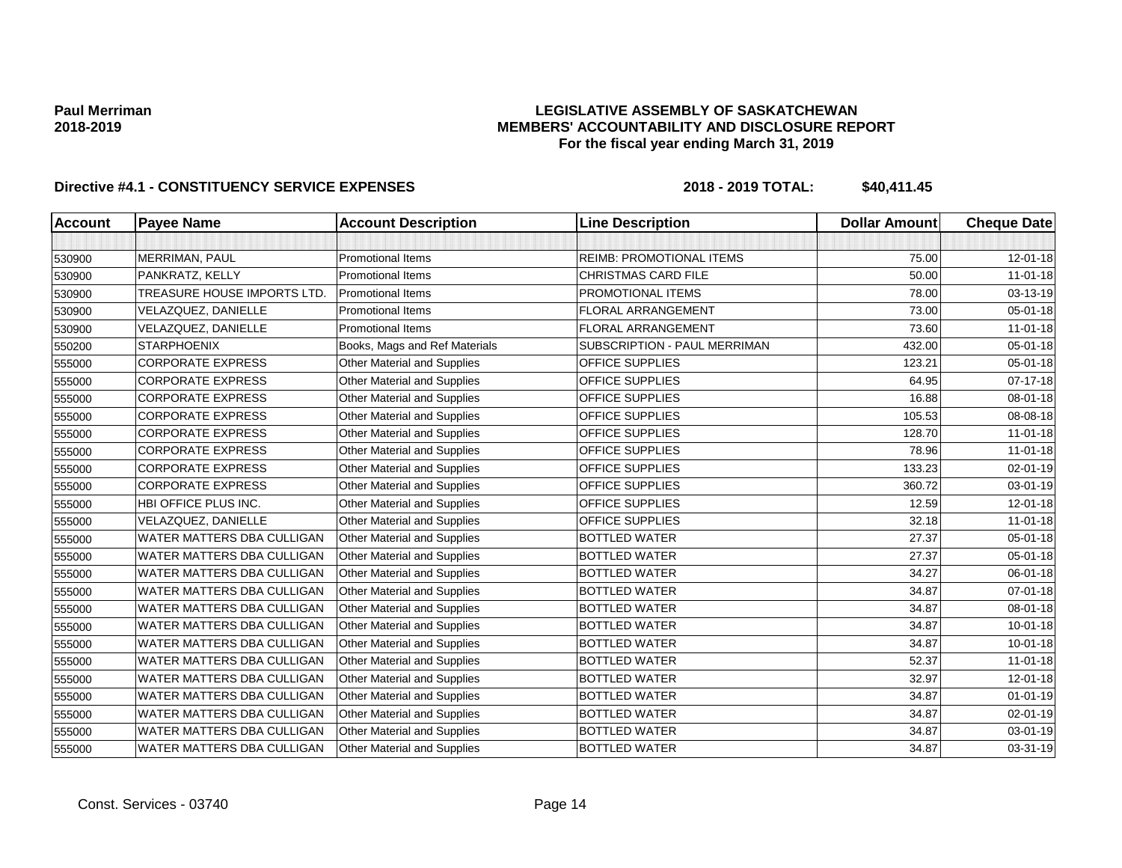### **LEGISLATIVE ASSEMBLY OF SASKATCHEWAN MEMBERS' ACCOUNTABILITY AND DISCLOSURE REPORT For the fiscal year ending March 31, 2019**

| <b>Account</b> | <b>Payee Name</b>           | <b>Account Description</b>         | <b>Line Description</b>         | <b>Dollar Amount</b> | <b>Cheque Date</b> |
|----------------|-----------------------------|------------------------------------|---------------------------------|----------------------|--------------------|
|                |                             |                                    |                                 |                      |                    |
| 530900         | MERRIMAN, PAUL              | <b>Promotional Items</b>           | <b>REIMB: PROMOTIONAL ITEMS</b> | 75.00                | 12-01-18           |
| 530900         | PANKRATZ, KELLY             | <b>Promotional Items</b>           | <b>CHRISTMAS CARD FILE</b>      | 50.00                | $11 - 01 - 18$     |
| 530900         | TREASURE HOUSE IMPORTS LTD. | <b>Promotional Items</b>           | PROMOTIONAL ITEMS               | 78.00                | 03-13-19           |
| 530900         | VELAZQUEZ, DANIELLE         | <b>Promotional Items</b>           | <b>FLORAL ARRANGEMENT</b>       | 73.00                | 05-01-18           |
| 530900         | VELAZQUEZ, DANIELLE         | <b>Promotional Items</b>           | <b>FLORAL ARRANGEMENT</b>       | 73.60                | $11 - 01 - 18$     |
| 550200         | <b>STARPHOENIX</b>          | Books, Mags and Ref Materials      | SUBSCRIPTION - PAUL MERRIMAN    | 432.00               | 05-01-18           |
| 555000         | <b>CORPORATE EXPRESS</b>    | <b>Other Material and Supplies</b> | <b>OFFICE SUPPLIES</b>          | 123.21               | 05-01-18           |
| 555000         | <b>CORPORATE EXPRESS</b>    | Other Material and Supplies        | OFFICE SUPPLIES                 | 64.95                | 07-17-18           |
| 555000         | <b>CORPORATE EXPRESS</b>    | <b>Other Material and Supplies</b> | OFFICE SUPPLIES                 | 16.88                | 08-01-18           |
| 555000         | <b>CORPORATE EXPRESS</b>    | <b>Other Material and Supplies</b> | OFFICE SUPPLIES                 | 105.53               | 08-08-18           |
| 555000         | <b>CORPORATE EXPRESS</b>    | Other Material and Supplies        | OFFICE SUPPLIES                 | 128.70               | $11-01-18$         |
| 555000         | <b>CORPORATE EXPRESS</b>    | <b>Other Material and Supplies</b> | OFFICE SUPPLIES                 | 78.96                | $11 - 01 - 18$     |
| 555000         | <b>CORPORATE EXPRESS</b>    | <b>Other Material and Supplies</b> | <b>OFFICE SUPPLIES</b>          | 133.23               | 02-01-19           |
| 555000         | <b>CORPORATE EXPRESS</b>    | <b>Other Material and Supplies</b> | OFFICE SUPPLIES                 | 360.72               | 03-01-19           |
| 555000         | HBI OFFICE PLUS INC.        | <b>Other Material and Supplies</b> | OFFICE SUPPLIES                 | 12.59                | 12-01-18           |
| 555000         | VELAZQUEZ, DANIELLE         | <b>Other Material and Supplies</b> | OFFICE SUPPLIES                 | 32.18                | $11 - 01 - 18$     |
| 555000         | WATER MATTERS DBA CULLIGAN  | <b>Other Material and Supplies</b> | <b>BOTTLED WATER</b>            | 27.37                | 05-01-18           |
| 555000         | WATER MATTERS DBA CULLIGAN  | <b>Other Material and Supplies</b> | <b>BOTTLED WATER</b>            | 27.37                | 05-01-18           |
| 555000         | WATER MATTERS DBA CULLIGAN  | Other Material and Supplies        | <b>BOTTLED WATER</b>            | 34.27                | 06-01-18           |
| 555000         | WATER MATTERS DBA CULLIGAN  | <b>Other Material and Supplies</b> | <b>BOTTLED WATER</b>            | 34.87                | 07-01-18           |
| 555000         | WATER MATTERS DBA CULLIGAN  | <b>Other Material and Supplies</b> | <b>BOTTLED WATER</b>            | 34.87                | 08-01-18           |
| 555000         | WATER MATTERS DBA CULLIGAN  | <b>Other Material and Supplies</b> | <b>BOTTLED WATER</b>            | 34.87                | $10 - 01 - 18$     |
| 555000         | WATER MATTERS DBA CULLIGAN  | Other Material and Supplies        | <b>BOTTLED WATER</b>            | 34.87                | $10 - 01 - 18$     |
| 555000         | WATER MATTERS DBA CULLIGAN  | Other Material and Supplies        | <b>BOTTLED WATER</b>            | 52.37                | $11-01-18$         |
| 555000         | WATER MATTERS DBA CULLIGAN  | <b>Other Material and Supplies</b> | <b>BOTTLED WATER</b>            | 32.97                | 12-01-18           |
| 555000         | WATER MATTERS DBA CULLIGAN  | Other Material and Supplies        | <b>BOTTLED WATER</b>            | 34.87                | $01 - 01 - 19$     |
| 555000         | WATER MATTERS DBA CULLIGAN  | Other Material and Supplies        | <b>BOTTLED WATER</b>            | 34.87                | $02 - 01 - 19$     |
| 555000         | WATER MATTERS DBA CULLIGAN  | <b>Other Material and Supplies</b> | <b>BOTTLED WATER</b>            | 34.87                | 03-01-19           |
| 555000         | WATER MATTERS DBA CULLIGAN  | <b>Other Material and Supplies</b> | <b>BOTTLED WATER</b>            | 34.87                | 03-31-19           |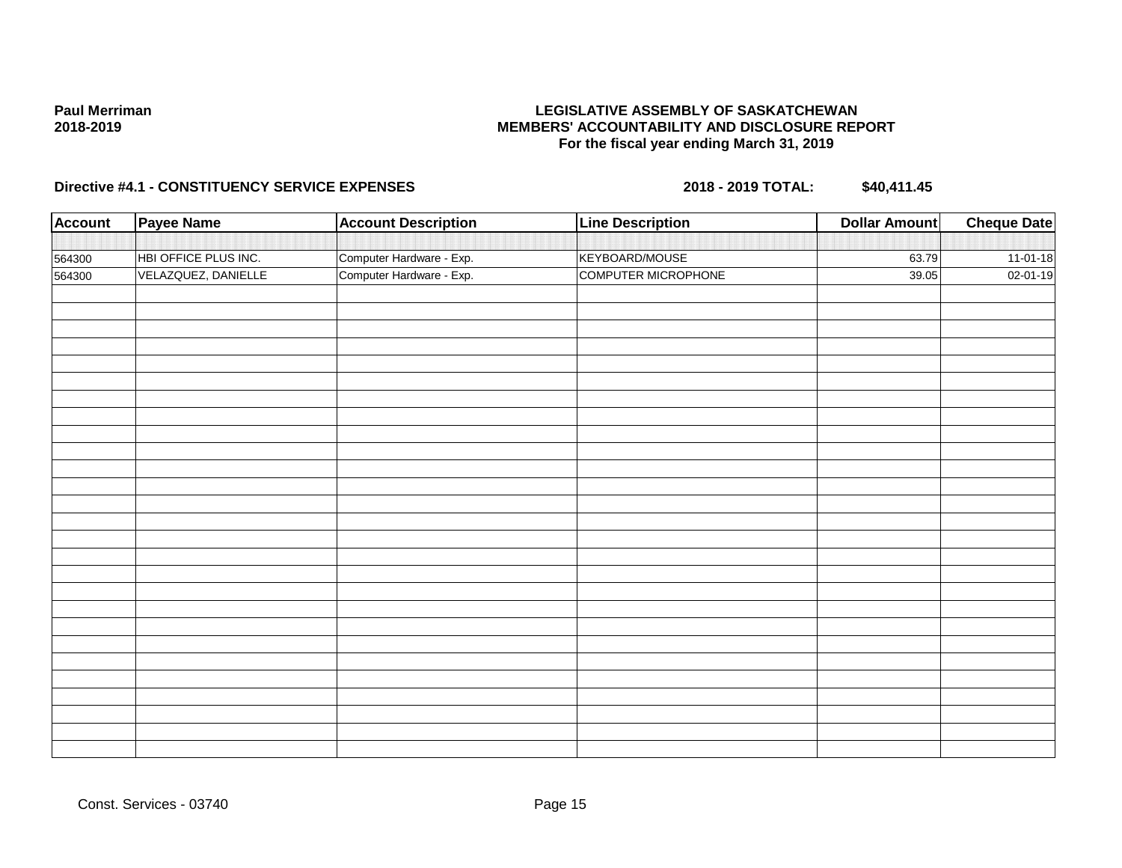### **LEGISLATIVE ASSEMBLY OF SASKATCHEWAN MEMBERS' ACCOUNTABILITY AND DISCLOSURE REPORT For the fiscal year ending March 31, 2019**

| Payee Name          | <b>Account Description</b> | <b>Line Description</b>  | <b>Dollar Amount</b> | <b>Cheque Date</b> |
|---------------------|----------------------------|--------------------------|----------------------|--------------------|
|                     |                            |                          |                      |                    |
|                     |                            | KEYBOARD/MOUSE           | 63.79                | $11-01-18$         |
| VELAZQUEZ, DANIELLE | Computer Hardware - Exp.   | COMPUTER MICROPHONE      | 39.05                | 02-01-19           |
|                     |                            |                          |                      |                    |
|                     |                            |                          |                      |                    |
|                     |                            |                          |                      |                    |
|                     |                            |                          |                      |                    |
|                     |                            |                          |                      |                    |
|                     |                            |                          |                      |                    |
|                     |                            |                          |                      |                    |
|                     |                            |                          |                      |                    |
|                     |                            |                          |                      |                    |
|                     |                            |                          |                      |                    |
|                     |                            |                          |                      |                    |
|                     |                            |                          |                      |                    |
|                     |                            |                          |                      |                    |
|                     |                            |                          |                      |                    |
|                     |                            |                          |                      |                    |
|                     |                            |                          |                      |                    |
|                     |                            |                          |                      |                    |
|                     |                            |                          |                      |                    |
|                     |                            |                          |                      |                    |
|                     |                            |                          |                      |                    |
|                     |                            |                          |                      |                    |
|                     |                            |                          |                      |                    |
|                     |                            |                          |                      |                    |
|                     |                            |                          |                      |                    |
|                     | HBI OFFICE PLUS INC.       | Computer Hardware - Exp. |                      |                    |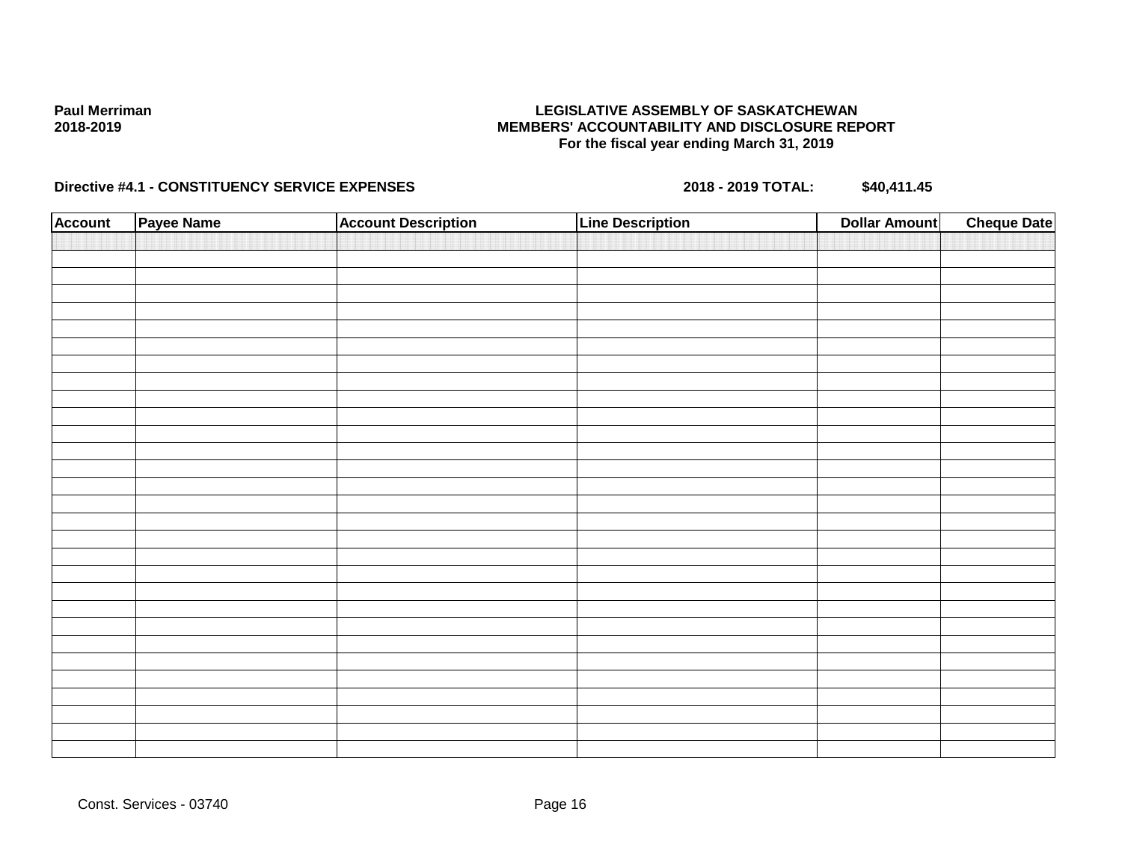### **LEGISLATIVE ASSEMBLY OF SASKATCHEWAN MEMBERS' ACCOUNTABILITY AND DISCLOSURE REPORT For the fiscal year ending March 31, 2019**

| <b>Account</b> | Payee Name | <b>Account Description</b> | <b>Line Description</b> | <b>Dollar Amount</b> | <b>Cheque Date</b> |
|----------------|------------|----------------------------|-------------------------|----------------------|--------------------|
|                |            |                            |                         |                      |                    |
|                |            |                            |                         |                      |                    |
|                |            |                            |                         |                      |                    |
|                |            |                            |                         |                      |                    |
|                |            |                            |                         |                      |                    |
|                |            |                            |                         |                      |                    |
|                |            |                            |                         |                      |                    |
|                |            |                            |                         |                      |                    |
|                |            |                            |                         |                      |                    |
|                |            |                            |                         |                      |                    |
|                |            |                            |                         |                      |                    |
|                |            |                            |                         |                      |                    |
|                |            |                            |                         |                      |                    |
|                |            |                            |                         |                      |                    |
|                |            |                            |                         |                      |                    |
|                |            |                            |                         |                      |                    |
|                |            |                            |                         |                      |                    |
|                |            |                            |                         |                      |                    |
|                |            |                            |                         |                      |                    |
|                |            |                            |                         |                      |                    |
|                |            |                            |                         |                      |                    |
|                |            |                            |                         |                      |                    |
|                |            |                            |                         |                      |                    |
|                |            |                            |                         |                      |                    |
|                |            |                            |                         |                      |                    |
|                |            |                            |                         |                      |                    |
|                |            |                            |                         |                      |                    |
|                |            |                            |                         |                      |                    |
|                |            |                            |                         |                      |                    |
|                |            |                            |                         |                      |                    |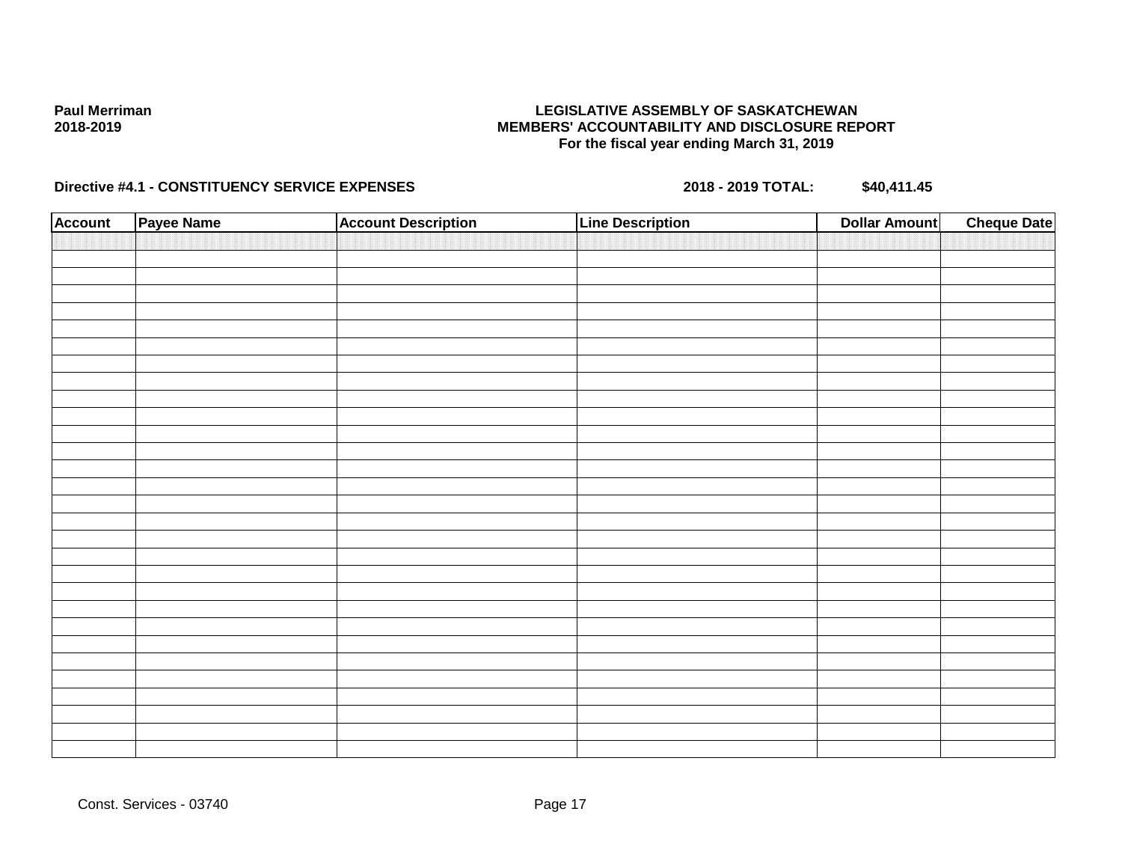### **LEGISLATIVE ASSEMBLY OF SASKATCHEWAN MEMBERS' ACCOUNTABILITY AND DISCLOSURE REPORT For the fiscal year ending March 31, 2019**

| <b>Account</b> | Payee Name | <b>Account Description</b> | <b>Line Description</b> | <b>Dollar Amount</b> | <b>Cheque Date</b> |
|----------------|------------|----------------------------|-------------------------|----------------------|--------------------|
|                |            |                            |                         |                      |                    |
|                |            |                            |                         |                      |                    |
|                |            |                            |                         |                      |                    |
|                |            |                            |                         |                      |                    |
|                |            |                            |                         |                      |                    |
|                |            |                            |                         |                      |                    |
|                |            |                            |                         |                      |                    |
|                |            |                            |                         |                      |                    |
|                |            |                            |                         |                      |                    |
|                |            |                            |                         |                      |                    |
|                |            |                            |                         |                      |                    |
|                |            |                            |                         |                      |                    |
|                |            |                            |                         |                      |                    |
|                |            |                            |                         |                      |                    |
|                |            |                            |                         |                      |                    |
|                |            |                            |                         |                      |                    |
|                |            |                            |                         |                      |                    |
|                |            |                            |                         |                      |                    |
|                |            |                            |                         |                      |                    |
|                |            |                            |                         |                      |                    |
|                |            |                            |                         |                      |                    |
|                |            |                            |                         |                      |                    |
|                |            |                            |                         |                      |                    |
|                |            |                            |                         |                      |                    |
|                |            |                            |                         |                      |                    |
|                |            |                            |                         |                      |                    |
|                |            |                            |                         |                      |                    |
|                |            |                            |                         |                      |                    |
|                |            |                            |                         |                      |                    |
|                |            |                            |                         |                      |                    |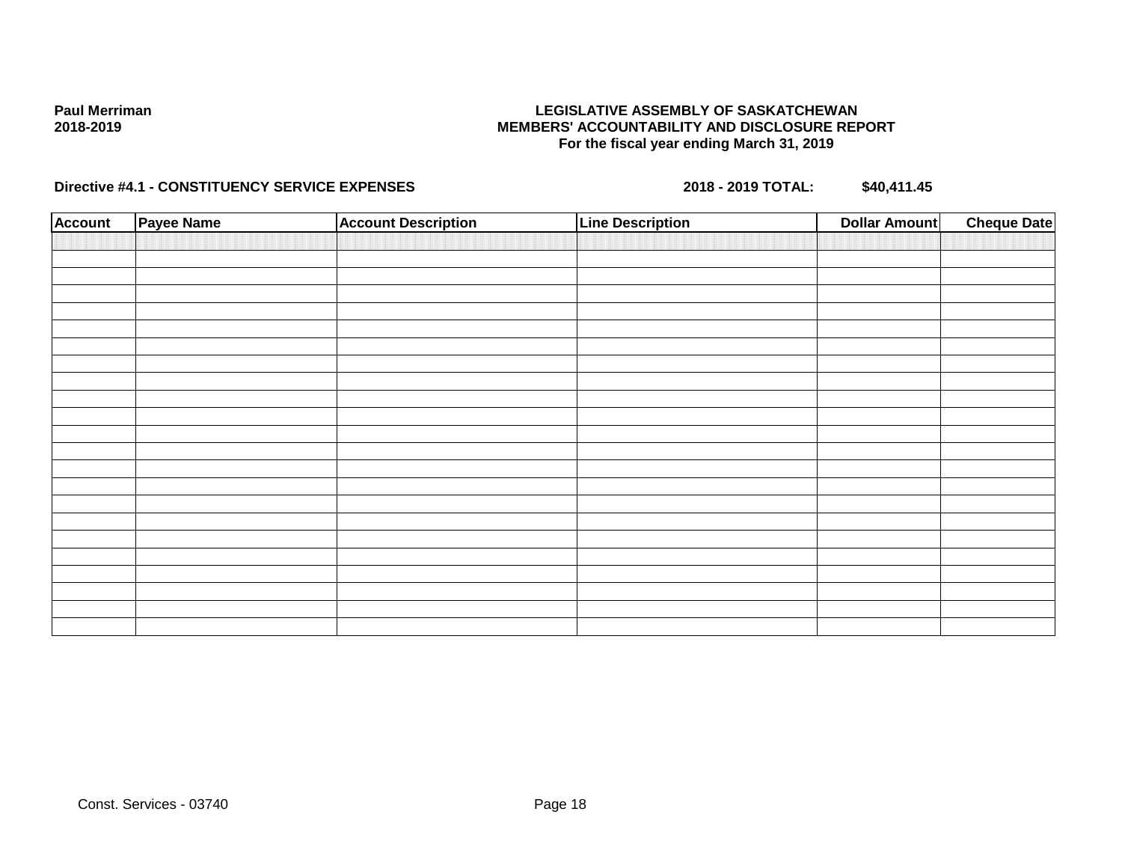### **LEGISLATIVE ASSEMBLY OF SASKATCHEWAN MEMBERS' ACCOUNTABILITY AND DISCLOSURE REPORT For the fiscal year ending March 31, 2019**

| <b>Account</b> | <b>Payee Name</b> | <b>Account Description</b> | <b>Line Description</b> | Dollar Amount | <b>Cheque Date</b> |
|----------------|-------------------|----------------------------|-------------------------|---------------|--------------------|
|                |                   |                            |                         |               |                    |
|                |                   |                            |                         |               |                    |
|                |                   |                            |                         |               |                    |
|                |                   |                            |                         |               |                    |
|                |                   |                            |                         |               |                    |
|                |                   |                            |                         |               |                    |
|                |                   |                            |                         |               |                    |
|                |                   |                            |                         |               |                    |
|                |                   |                            |                         |               |                    |
|                |                   |                            |                         |               |                    |
|                |                   |                            |                         |               |                    |
|                |                   |                            |                         |               |                    |
|                |                   |                            |                         |               |                    |
|                |                   |                            |                         |               |                    |
|                |                   |                            |                         |               |                    |
|                |                   |                            |                         |               |                    |
|                |                   |                            |                         |               |                    |
|                |                   |                            |                         |               |                    |
|                |                   |                            |                         |               |                    |
|                |                   |                            |                         |               |                    |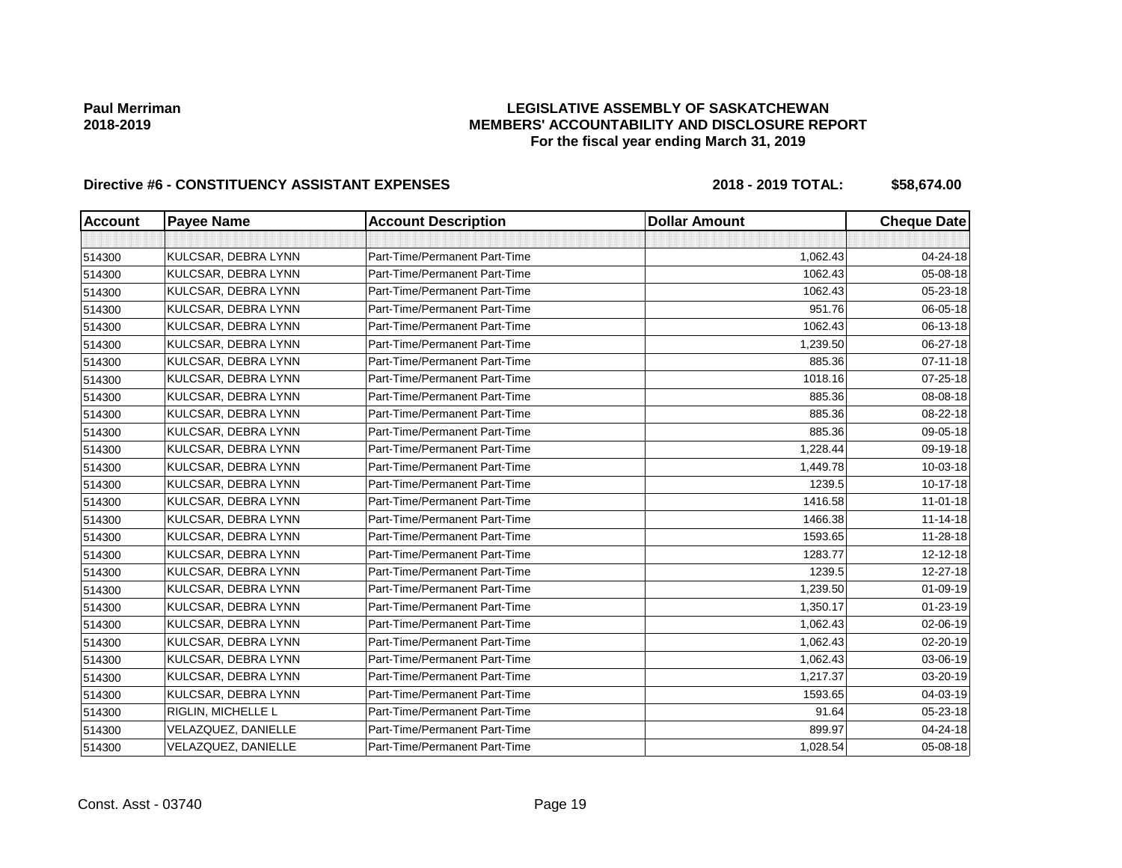### **LEGISLATIVE ASSEMBLY OF SASKATCHEWAN MEMBERS' ACCOUNTABILITY AND DISCLOSURE REPORT For the fiscal year ending March 31, 2019**

# Directive #6 - CONSTITUENCY ASSISTANT EXPENSES 2018 - 2018 - 2019 TOTAL: \$58,674.00

| <b>Account</b> | <b>Payee Name</b>   | <b>Account Description</b>    | <b>Dollar Amount</b> | <b>Cheque Date</b> |
|----------------|---------------------|-------------------------------|----------------------|--------------------|
|                |                     |                               |                      |                    |
| 514300         | KULCSAR, DEBRA LYNN | Part-Time/Permanent Part-Time | 1,062.43             | 04-24-18           |
| 514300         | KULCSAR, DEBRA LYNN | Part-Time/Permanent Part-Time | 1062.43              | 05-08-18           |
| 514300         | KULCSAR, DEBRA LYNN | Part-Time/Permanent Part-Time | 1062.43              | 05-23-18           |
| 514300         | KULCSAR, DEBRA LYNN | Part-Time/Permanent Part-Time | 951.76               | 06-05-18           |
| 514300         | KULCSAR, DEBRA LYNN | Part-Time/Permanent Part-Time | 1062.43              | 06-13-18           |
| 514300         | KULCSAR, DEBRA LYNN | Part-Time/Permanent Part-Time | 1,239.50             | 06-27-18           |
| 514300         | KULCSAR, DEBRA LYNN | Part-Time/Permanent Part-Time | 885.36               | $07 - 11 - 18$     |
| 514300         | KULCSAR, DEBRA LYNN | Part-Time/Permanent Part-Time | 1018.16              | 07-25-18           |
| 514300         | KULCSAR, DEBRA LYNN | Part-Time/Permanent Part-Time | 885.36               | 08-08-18           |
| 514300         | KULCSAR, DEBRA LYNN | Part-Time/Permanent Part-Time | 885.36               | 08-22-18           |
| 514300         | KULCSAR, DEBRA LYNN | Part-Time/Permanent Part-Time | 885.36               | 09-05-18           |
| 514300         | KULCSAR, DEBRA LYNN | Part-Time/Permanent Part-Time | 1,228.44             | 09-19-18           |
| 514300         | KULCSAR, DEBRA LYNN | Part-Time/Permanent Part-Time | 1,449.78             | 10-03-18           |
| 514300         | KULCSAR, DEBRA LYNN | Part-Time/Permanent Part-Time | 1239.5               | 10-17-18           |
| 514300         | KULCSAR, DEBRA LYNN | Part-Time/Permanent Part-Time | 1416.58              | $11 - 01 - 18$     |
| 514300         | KULCSAR, DEBRA LYNN | Part-Time/Permanent Part-Time | 1466.38              | $11 - 14 - 18$     |
| 514300         | KULCSAR, DEBRA LYNN | Part-Time/Permanent Part-Time | 1593.65              | 11-28-18           |
| 514300         | KULCSAR, DEBRA LYNN | Part-Time/Permanent Part-Time | 1283.77              | 12-12-18           |
| 514300         | KULCSAR, DEBRA LYNN | Part-Time/Permanent Part-Time | 1239.5               | 12-27-18           |
| 514300         | KULCSAR, DEBRA LYNN | Part-Time/Permanent Part-Time | 1,239.50             | 01-09-19           |
| 514300         | KULCSAR, DEBRA LYNN | Part-Time/Permanent Part-Time | 1,350.17             | $01 - 23 - 19$     |
| 514300         | KULCSAR, DEBRA LYNN | Part-Time/Permanent Part-Time | 1,062.43             | 02-06-19           |
| 514300         | KULCSAR, DEBRA LYNN | Part-Time/Permanent Part-Time | 1,062.43             | 02-20-19           |
| 514300         | KULCSAR, DEBRA LYNN | Part-Time/Permanent Part-Time | 1,062.43             | 03-06-19           |
| 514300         | KULCSAR, DEBRA LYNN | Part-Time/Permanent Part-Time | 1,217.37             | 03-20-19           |
| 514300         | KULCSAR, DEBRA LYNN | Part-Time/Permanent Part-Time | 1593.65              | 04-03-19           |
| 514300         | RIGLIN, MICHELLE L  | Part-Time/Permanent Part-Time | 91.64                | 05-23-18           |
| 514300         | VELAZQUEZ, DANIELLE | Part-Time/Permanent Part-Time | 899.97               | 04-24-18           |
| 514300         | VELAZQUEZ, DANIELLE | Part-Time/Permanent Part-Time | 1,028.54             | 05-08-18           |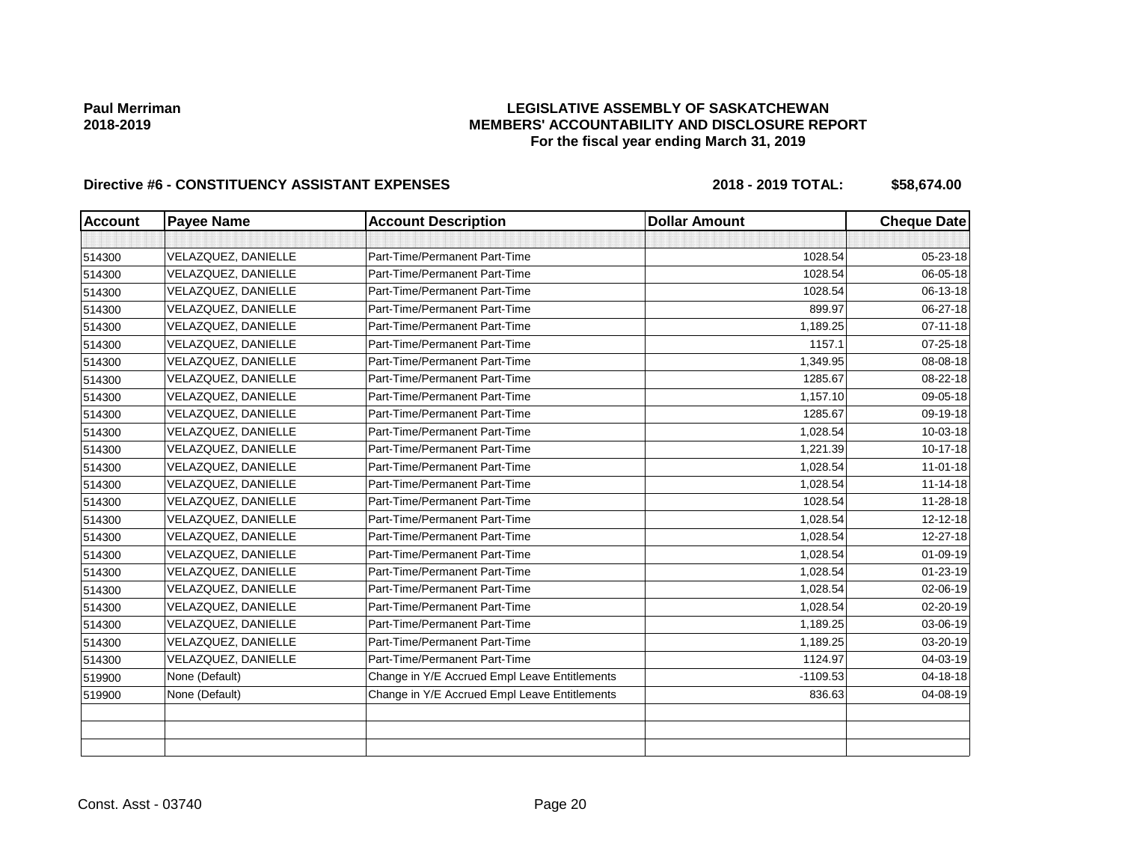### **LEGISLATIVE ASSEMBLY OF SASKATCHEWAN MEMBERS' ACCOUNTABILITY AND DISCLOSURE REPORT For the fiscal year ending March 31, 2019**

# Directive #6 - CONSTITUENCY ASSISTANT EXPENSES 2018 - 2018 - 2019 TOTAL: \$58,674.00

| <b>Account</b> | <b>Payee Name</b>   | <b>Account Description</b>                    | <b>Dollar Amount</b> | <b>Cheque Date</b> |
|----------------|---------------------|-----------------------------------------------|----------------------|--------------------|
|                |                     |                                               |                      |                    |
| 514300         | VELAZQUEZ, DANIELLE | Part-Time/Permanent Part-Time                 | 1028.54              | 05-23-18           |
| 514300         | VELAZQUEZ, DANIELLE | Part-Time/Permanent Part-Time                 | 1028.54              | 06-05-18           |
| 514300         | VELAZQUEZ, DANIELLE | Part-Time/Permanent Part-Time                 | 1028.54              | 06-13-18           |
| 514300         | VELAZQUEZ, DANIELLE | Part-Time/Permanent Part-Time                 | 899.97               | 06-27-18           |
| 514300         | VELAZQUEZ, DANIELLE | Part-Time/Permanent Part-Time                 | 1,189.25             | $07 - 11 - 18$     |
| 514300         | VELAZQUEZ, DANIELLE | Part-Time/Permanent Part-Time                 | 1157.1               | $07 - 25 - 18$     |
| 514300         | VELAZQUEZ, DANIELLE | Part-Time/Permanent Part-Time                 | 1,349.95             | 08-08-18           |
| 514300         | VELAZQUEZ, DANIELLE | Part-Time/Permanent Part-Time                 | 1285.67              | 08-22-18           |
| 514300         | VELAZQUEZ, DANIELLE | Part-Time/Permanent Part-Time                 | 1,157.10             | 09-05-18           |
| 514300         | VELAZQUEZ, DANIELLE | Part-Time/Permanent Part-Time                 | 1285.67              | 09-19-18           |
| 514300         | VELAZQUEZ, DANIELLE | Part-Time/Permanent Part-Time                 | 1,028.54             | 10-03-18           |
| 514300         | VELAZQUEZ, DANIELLE | Part-Time/Permanent Part-Time                 | 1,221.39             | 10-17-18           |
| 514300         | VELAZQUEZ, DANIELLE | Part-Time/Permanent Part-Time                 | 1.028.54             | $11 - 01 - 18$     |
| 514300         | VELAZQUEZ, DANIELLE | Part-Time/Permanent Part-Time                 | 1,028.54             | $11 - 14 - 18$     |
| 514300         | VELAZQUEZ, DANIELLE | Part-Time/Permanent Part-Time                 | 1028.54              | 11-28-18           |
| 514300         | VELAZQUEZ, DANIELLE | Part-Time/Permanent Part-Time                 | 1,028.54             | 12-12-18           |
| 514300         | VELAZQUEZ, DANIELLE | Part-Time/Permanent Part-Time                 | 1,028.54             | 12-27-18           |
| 514300         | VELAZQUEZ, DANIELLE | Part-Time/Permanent Part-Time                 | 1,028.54             | $01 - 09 - 19$     |
| 514300         | VELAZQUEZ, DANIELLE | Part-Time/Permanent Part-Time                 | 1,028.54             | 01-23-19           |
| 514300         | VELAZQUEZ, DANIELLE | Part-Time/Permanent Part-Time                 | 1,028.54             | 02-06-19           |
| 514300         | VELAZQUEZ, DANIELLE | Part-Time/Permanent Part-Time                 | 1,028.54             | 02-20-19           |
| 514300         | VELAZQUEZ, DANIELLE | Part-Time/Permanent Part-Time                 | 1,189.25             | 03-06-19           |
| 514300         | VELAZQUEZ, DANIELLE | Part-Time/Permanent Part-Time                 | 1,189.25             | 03-20-19           |
| 514300         | VELAZQUEZ, DANIELLE | Part-Time/Permanent Part-Time                 | 1124.97              | 04-03-19           |
| 519900         | None (Default)      | Change in Y/E Accrued Empl Leave Entitlements | $-1109.53$           | 04-18-18           |
| 519900         | None (Default)      | Change in Y/E Accrued Empl Leave Entitlements | 836.63               | 04-08-19           |
|                |                     |                                               |                      |                    |
|                |                     |                                               |                      |                    |
|                |                     |                                               |                      |                    |

Const. Asst - 03740 Page 20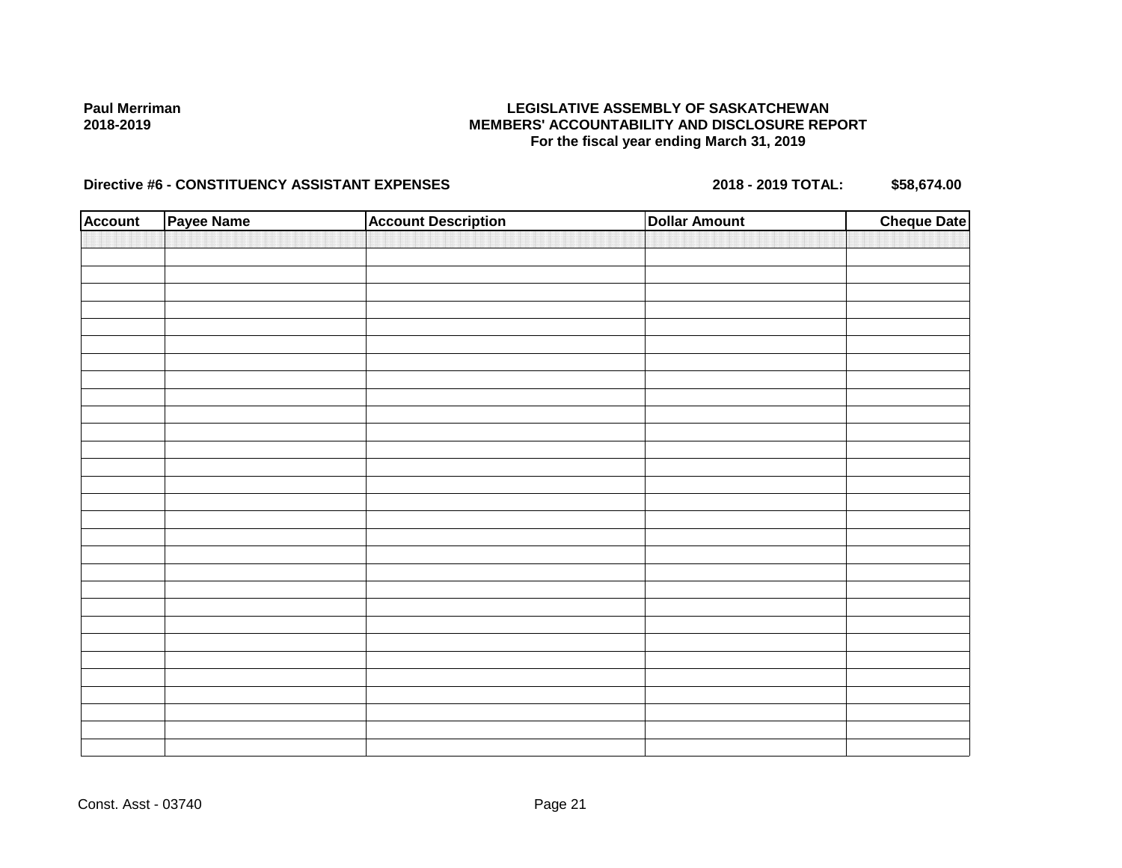### **LEGISLATIVE ASSEMBLY OF SASKATCHEWAN MEMBERS' ACCOUNTABILITY AND DISCLOSURE REPORT For the fiscal year ending March 31, 2019**

# Directive #6 - CONSTITUENCY ASSISTANT EXPENSES 2018 - 2018 - 2019 TOTAL: \$58,674.00

| <b>Account</b> | Payee Name | <b>Account Description</b> | <b>Dollar Amount</b> | <b>Cheque Date</b> |
|----------------|------------|----------------------------|----------------------|--------------------|
|                |            |                            |                      |                    |
|                |            |                            |                      |                    |
|                |            |                            |                      |                    |
|                |            |                            |                      |                    |
|                |            |                            |                      |                    |
|                |            |                            |                      |                    |
|                |            |                            |                      |                    |
|                |            |                            |                      |                    |
|                |            |                            |                      |                    |
|                |            |                            |                      |                    |
|                |            |                            |                      |                    |
|                |            |                            |                      |                    |
|                |            |                            |                      |                    |
|                |            |                            |                      |                    |
|                |            |                            |                      |                    |
|                |            |                            |                      |                    |
|                |            |                            |                      |                    |
|                |            |                            |                      |                    |
|                |            |                            |                      |                    |
|                |            |                            |                      |                    |
|                |            |                            |                      |                    |
|                |            |                            |                      |                    |
|                |            |                            |                      |                    |
|                |            |                            |                      |                    |
|                |            |                            |                      |                    |
|                |            |                            |                      |                    |
|                |            |                            |                      |                    |
|                |            |                            |                      |                    |
|                |            |                            |                      |                    |